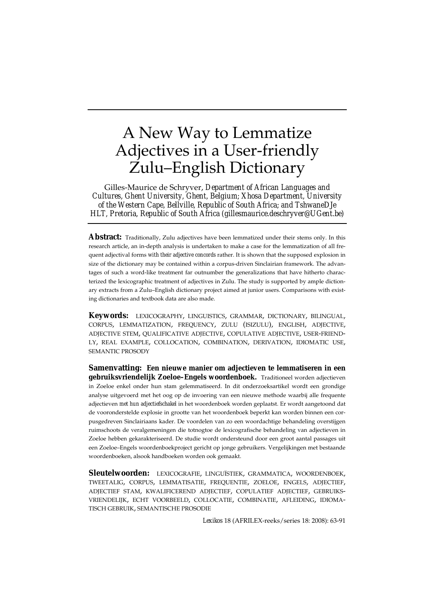# A New Way to Lemmatize Adjectives in a User-friendly Zulu–English Dictionary

Gilles-Maurice de Schryver, *Department of African Languages and Cultures, Ghent University, Ghent, Belgium; Xhosa Department, University of the Western Cape, Bellville, Republic of South Africa; and TshwaneDJe HLT, Pretoria, Republic of South Africa (gillesmaurice.deschryver@UGent.be)*

**Abstract:** Traditionally, Zulu adjectives have been lemmatized under their stems only. In this research article, an in-depth analysis is undertaken to make a case for the lemmatization of all frequent adjectival forms *with their adjective concords* rather. It is shown that the supposed explosion in size of the dictionary may be contained within a corpus-driven Sinclairian framework. The advantages of such a word-like treatment far outnumber the generalizations that have hitherto characterized the lexicographic treatment of adjectives in Zulu. The study is supported by ample dictionary extracts from a Zulu–English dictionary project aimed at junior users. Comparisons with existing dictionaries and textbook data are also made.

**Keywords:** LEXICOGRAPHY, LINGUISTICS, GRAMMAR, DICTIONARY, BILINGUAL, CORPUS, LEMMATIZATION, FREQUENCY, ZULU (ISIZULU), ENGLISH, ADJECTIVE, ADJECTIVE STEM, QUALIFICATIVE ADJECTIVE, COPULATIVE ADJECTIVE, USER-FRIEND-LY, REAL EXAMPLE, COLLOCATION, COMBINATION, DERIVATION, IDIOMATIC USE, SEMANTIC PROSODY

**Samenvatting: Een nieuwe manier om adjectieven te lemmatiseren in een gebruiksvriendelijk Zoeloe–Engels woordenboek.** Traditioneel worden adjectieven in Zoeloe enkel onder hun stam gelemmatiseerd. In dit onderzoeksartikel wordt een grondige analyse uitgevoerd met het oog op de invoering van een nieuwe methode waarbij alle frequente adjectieven *met hun adjectiefschakel* in het woordenboek worden geplaatst. Er wordt aangetoond dat de vooronderstelde explosie in grootte van het woordenboek beperkt kan worden binnen een corpusgedreven Sinclairiaans kader. De voordelen van zo een woordachtige behandeling overstijgen ruimschoots de veralgemeningen die totnogtoe de lexicografische behandeling van adjectieven in Zoeloe hebben gekarakteriseerd. De studie wordt ondersteund door een groot aantal passages uit een Zoeloe–Engels woordenboekproject gericht op jonge gebruikers. Vergelijkingen met bestaande woordenboeken, alsook handboeken worden ook gemaakt.

**Sleutelwoorden:** LEXICOGRAFIE, LINGUÏSTIEK, GRAMMATICA, WOORDENBOEK, TWEETALIG, CORPUS, LEMMATISATIE, FREQUENTIE, ZOELOE, ENGELS, ADJECTIEF, ADJECTIEF STAM, KWALIFICEREND ADJECTIEF, COPULATIEF ADJECTIEF, GEBRUIKS-VRIENDELIJK, ECHT VOORBEELD, COLLOCATIE, COMBINATIE, AFLEIDING, IDIOMA-TISCH GEBRUIK, SEMANTISCHE PROSODIE

*Lexikos* 18 (AFRILEX-reeks/series 18: 2008): 63-91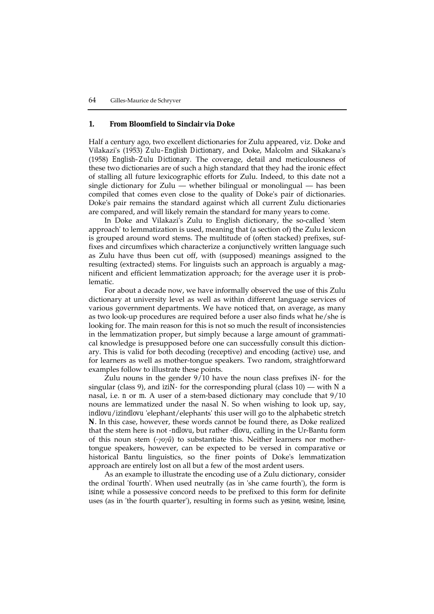## **1. From Bloomfield to Sinclair via Doke**

Half a century ago, two excellent dictionaries for Zulu appeared, viz. Doke and Vilakazi's (1953) *Zulu–English Dictionary*, and Doke, Malcolm and Sikakana's (1958) *English–Zulu Dictionary*. The coverage, detail and meticulousness of these two dictionaries are of such a high standard that they had the ironic effect of stalling all future lexicographic efforts for Zulu. Indeed, to this date not a single dictionary for  $Z$ ulu — whether bilingual or monolingual — has been compiled that comes even close to the quality of Doke's pair of dictionaries. Doke's pair remains the standard against which all current Zulu dictionaries are compared, and will likely remain the standard for many years to come.

In Doke and Vilakazi's Zulu to English dictionary, the so-called 'stem approach' to lemmatization is used, meaning that (a section of) the Zulu lexicon is grouped around word stems. The multitude of (often stacked) prefixes, suffixes and circumfixes which characterize a conjunctively written language such as Zulu have thus been cut off, with (supposed) meanings assigned to the resulting (extracted) stems. For linguists such an approach is arguably a magnificent and efficient lemmatization approach; for the average user it is problematic.

For about a decade now, we have informally observed the use of this Zulu dictionary at university level as well as within different language services of various government departments. We have noticed that, on average, as many as two look-up procedures are required before a user also finds what he/she is looking for. The main reason for this is not so much the result of inconsistencies in the lemmatization proper, but simply because a large amount of grammatical knowledge is presupposed before one can successfully consult this dictionary. This is valid for both decoding (receptive) and encoding (active) use, and for learners as well as mother-tongue speakers. Two random, straightforward examples follow to illustrate these points.

Zulu nouns in the gender 9/10 have the noun class prefixes *iN-* for the singular (class 9), and *iziN-* for the corresponding plural (class 10) — with *N* a nasal, i.e. *n* or *m*. A user of a stem-based dictionary may conclude that 9/10 nouns are lemmatized under the nasal *N*. So when wishing to look up, say, *indlovu*/*izindlovu* 'elephant/elephants' this user will go to the alphabetic stretch **N**. In this case, however, these words cannot be found there, as Doke realized that the stem here is not *-ndlovu*, but rather *-dlovu*, calling in the Ur-Bantu form of this noun stem (*-γoγû*) to substantiate this. Neither learners nor mothertongue speakers, however, can be expected to be versed in comparative or historical Bantu linguistics, so the finer points of Doke's lemmatization approach are entirely lost on all but a few of the most ardent users.

As an example to illustrate the encoding use of a Zulu dictionary, consider the ordinal 'fourth'. When used neutrally (as in 'she came fourth'), the form is *isine*; while a possessive concord needs to be prefixed to this form for definite uses (as in 'the fourth quarter'), resulting in forms such as *yesine*, *wesine*, *lesine*,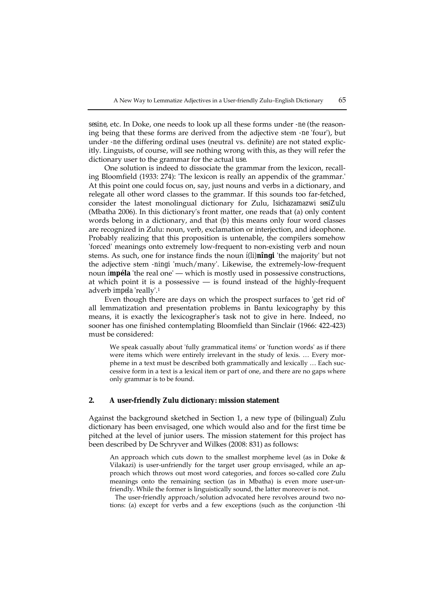*sesine*, etc. In Doke, one needs to look up all these forms under *-ne* (the reasoning being that these forms are derived from the adjective stem *-ne* 'four'), but under *-ne* the differing ordinal uses (neutral vs. definite) are not stated explicitly. Linguists, of course, will see nothing wrong with this, as they will refer the dictionary user to the grammar for the actual *use*.

One solution is indeed to dissociate the grammar from the lexicon, recalling Bloomfield (1933: 274): 'The lexicon is really an appendix of the grammar.' At this point one could focus on, say, just nouns and verbs in a dictionary, and relegate all other word classes to the grammar. If this sounds too far-fetched, consider the latest monolingual dictionary for Zulu, *Isichazamazwi sesiZulu* (Mbatha 2006). In this dictionary's front matter, one reads that (a) only content words belong in a dictionary, and that (b) this means only four word classes are recognized in Zulu: noun, verb, exclamation or interjection, and ideophone. Probably realizing that this proposition is untenable, the compilers somehow 'forced' meanings onto extremely low-frequent to non-existing verb and noun stems. As such, one for instance finds the noun *í(li)***nîngi** 'the majority' but not the adjective stem *-ningi* 'much/many'. Likewise, the extremely-low-frequent noun *í***mpéla** 'the real one' — which is mostly used in possessive constructions, at which point it is a possessive — is found instead of the highly-frequent adverb *impela* 'really'.1

Even though there are days on which the prospect surfaces to 'get rid of' all lemmatization and presentation problems in Bantu lexicography by this means, it is exactly the lexicographer's task not to give in here. Indeed, no sooner has one finished contemplating Bloomfield than Sinclair (1966: 422-423) must be considered:

We speak casually about 'fully grammatical items' or 'function words' as if there were items which were entirely irrelevant in the study of lexis. … Every morpheme in a text must be described both grammatically and lexically … Each successive form in a text is a lexical item or part of one, and there are no gaps where only grammar is to be found.

## **2. A user-friendly Zulu dictionary: mission statement**

Against the background sketched in Section 1, a new type of (bilingual) Zulu dictionary has been envisaged, one which would also and for the first time be pitched at the level of junior users. The mission statement for this project has been described by De Schryver and Wilkes (2008: 831) as follows:

An approach which cuts down to the smallest morpheme level (as in Doke & Vilakazi) is user-unfriendly for the target user group envisaged, while an approach which throws out most word categories, and forces so-called core Zulu meanings onto the remaining section (as in Mbatha) is even more user-unfriendly. While the former is linguistically sound, the latter moreover is not.

 The user-friendly approach/solution advocated here revolves around two notions: (a) except for verbs and a few exceptions (such as the conjunction *-thi*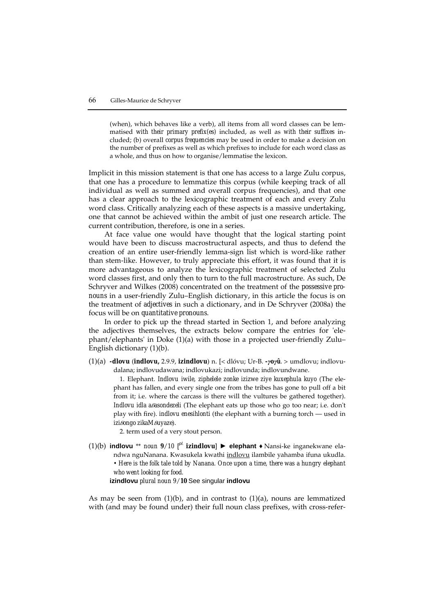(when), which behaves like a verb), all items from all word classes can be lemmatised *with their primary prefix(es)* included, as well as *with their suffixes* included; (b) overall *corpus frequencies* may be used in order to make a decision on the number of prefixes as well as which prefixes to include for each word class as a whole, and thus on how to organise/lemmatise the lexicon.

Implicit in this mission statement is that one has access to a large Zulu corpus, that one has a procedure to lemmatize this corpus (while keeping track of all individual as well as summed and overall corpus frequencies), and that one has a clear approach to the lexicographic treatment of each and every Zulu word class. Critically analyzing each of these aspects is a massive undertaking, one that cannot be achieved within the ambit of just one research article. The current contribution, therefore, is one in a series.

At face value one would have thought that the logical starting point would have been to discuss macrostructural aspects, and thus to defend the creation of an entire user-friendly lemma-sign list which is word-like rather than stem-like. However, to truly appreciate this effort, it was found that it is more advantageous to analyze the lexicographic treatment of selected Zulu word classes first, and only then to turn to the full macrostructure. As such, De Schryver and Wilkes (2008) concentrated on the treatment of the *possessive pronouns* in a user-friendly Zulu–English dictionary, in this article the focus is on the treatment of *adjectives* in such a dictionary, and in De Schryver (2008a) the focus will be on *quantitative pronouns*.

In order to pick up the thread started in Section 1, and before analyzing the adjectives themselves, the extracts below compare the entries for 'elephant/elephants' in Doke (1)(a) with those in a projected user-friendly Zulu– English dictionary (1)(b).

(1)(a) *-***dlovu** (**indlovu,** 2.9.9, **izindlovu**) n. [< dlóvu; Ur-B. *-γoγû*. > umdlovu; indlovudalana; indlovudawana; indlovukazi; indlovunda; indlovundwane.

 1. Elephant. *Indlovu iwile, ziphelele zonke izizwe ziye kuxephula kuyo* (The elephant has fallen, and every single one from the tribes has gone to pull off a bit from it; i.e. where the carcass is there will the vultures be gathered together). *Indlovu idla a6asondezeli* (The elephant eats up those who go too near; i.e. don't play with fire). *indlovu enesihlonti* (the elephant with a burning torch — used in *izi*∫*ongo zikaM*∫*uyaze*).

2. term used of a very stout person.

(1)(b) **indlovu** \*\* *noun 9*/*10* [*pl.* **izindlovu**] ► **elephant** ♦ Nansi-ke inganekwane elandwa nguNanana. Kwasukela kwathi indlovu ilambile yahamba ifuna ukudla. *• Here is the folk tale told by Nanana. Once upon a time, there was a hungry elephant who went looking for food.* 

 **izindlovu** *plural noun 9*/*10* See singular **indlovu**

As may be seen from  $(1)(b)$ , and in contrast to  $(1)(a)$ , nouns are lemmatized with (and may be found under) their full noun class prefixes, with cross-refer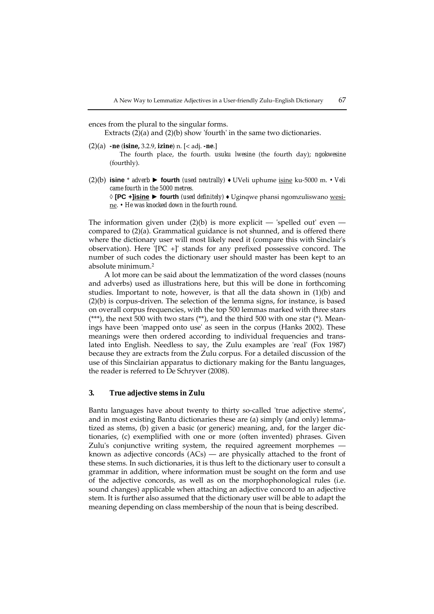ences from the plural to the singular forms.

Extracts (2)(a) and (2)(b) show 'fourth' in the same two dictionaries.

(2)(a) *-***ne** (**isine,** 3.2.9, **izine**) n. [< adj. *-***ne**.]

 The fourth place, the fourth. *usuku lwesine* (the fourth day); *ngokwesine* (fourthly).

(2)(b) **isine** \* *adverb* ► **fourth** *(used neutrally)* ♦ UVeli uphume isine ku-5000 m. *• Veli came fourth in the 5000 metres.* 

◊ **[PC +]isine** ► **fourth** *(used definitely)* ♦ Uginqwe phansi ngomzuliswano wesine. *• He was knocked down in the fourth round.*

The information given under  $(2)(b)$  is more explicit — 'spelled out' even compared to  $(2)(a)$ . Grammatical guidance is not shunned, and is offered there where the dictionary user will most likely need it (compare this with Sinclair's observation). Here '[PC +]' stands for any prefixed possessive concord. The number of such codes the dictionary user should master has been kept to an absolute minimum.2

A lot more can be said about the lemmatization of the word classes (nouns and adverbs) used as illustrations here, but this will be done in forthcoming studies. Important to note, however, is that all the data shown in (1)(b) and (2)(b) is corpus-driven. The selection of the lemma signs, for instance, is based on overall corpus frequencies, with the top 500 lemmas marked with three stars  $(**)$ , the next 500 with two stars  $(**)$ , and the third 500 with one star  $(*)$ . Meanings have been 'mapped onto use' as seen in the corpus (Hanks 2002). These meanings were then ordered according to individual frequencies and translated into English. Needless to say, the Zulu examples are 'real' (Fox 1987) because they are extracts from the Zulu corpus. For a detailed discussion of the use of this Sinclairian apparatus to dictionary making for the Bantu languages, the reader is referred to De Schryver (2008).

### **3. True adjective stems in Zulu**

Bantu languages have about twenty to thirty so-called 'true adjective stems', and in most existing Bantu dictionaries these are (a) simply (and only) lemmatized as stems, (b) given a basic (or generic) meaning, and, for the larger dictionaries, (c) exemplified with one or more (often invented) phrases. Given Zulu's conjunctive writing system, the required agreement morphemes known as adjective concords  $(ACs)$  — are physically attached to the front of these stems. In such dictionaries, it is thus left to the dictionary user to consult a grammar in addition, where information must be sought on the form and use of the adjective concords, as well as on the morphophonological rules (i.e. sound changes) applicable when attaching an adjective concord to an adjective stem. It is further also assumed that the dictionary user will be able to adapt the meaning depending on class membership of the noun that is being described.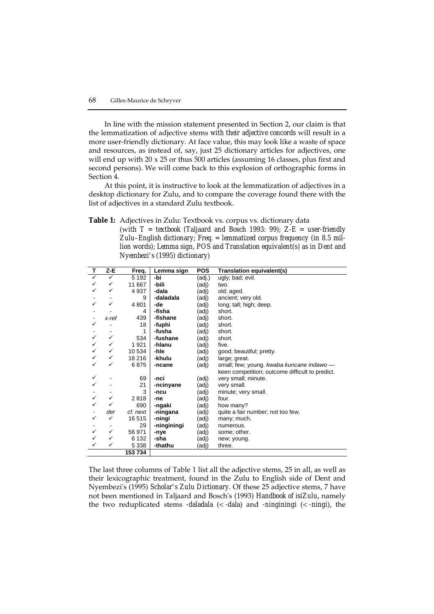In line with the mission statement presented in Section 2, our claim is that the lemmatization of adjective stems *with their adjective concords* will result in a more user-friendly dictionary. At face value, this may look like a waste of space and resources, as instead of, say, just 25 dictionary articles for adjectives, one will end up with  $20 \times 25$  or thus 500 articles (assuming 16 classes, plus first and second persons). We will come back to this explosion of orthographic forms in Section 4.

At this point, it is instructive to look at the lemmatization of adjectives in a desktop dictionary for Zulu, and to compare the coverage found there with the list of adjectives in a standard Zulu textbook.

# **Table 1:** Adjectives in Zulu: Textbook vs. corpus vs. dictionary data

 (w*ith T = textbook (Taljaard and Bosch 1993: 99); Z-E = user-friendly Zulu–English dictionary; Freq. = lemmatized corpus frequency (in 8.5 million words); Lemma sign, POS and Translation equivalent(s) as in Dent and Nyembezi's (1995) dictionary*)

| Т            | Z-E          | Freq.    | Lemma sign  | <b>POS</b> | Translation equivalent(s)                       |
|--------------|--------------|----------|-------------|------------|-------------------------------------------------|
| ✓            | $\checkmark$ | 5 1 9 2  | -bi         | (adj.)     | ugly; bad; evil.                                |
| ✓            | $\checkmark$ | 11 667   | -bili       | (adj)      | two.                                            |
| ✓            | ✓            | 4937     | -dala       | (adj)      | old; aged.                                      |
|              |              | 9        | -daladala   | (adj)      | ancient; very old.                              |
| ✓            | $\checkmark$ | 4 8 0 1  | -de         | (adj)      | long; tall; high; deep.                         |
|              |              | 4        | -fisha      | (adj)      | short.                                          |
|              | x-ref        | 439      | -fishane    | (adj)      | short.                                          |
| ✓            |              | 18       | -fuphi      | (adj)      | short.                                          |
|              |              | 1        | -fusha      | (adj)      | short.                                          |
| ✓            | ✓            | 534      | -fushane    | (adj)      | short.                                          |
| ✓            | $\checkmark$ | 1921     | -hlanu      | (adj)      | five.                                           |
| ✓            | ✓            | 10 534   | -hle        | (adj)      | good; beautiful; pretty.                        |
| ✓            | ✓            | 18 216   | -khulu      | (adj)      | large; great.                                   |
| ✓            | ✓            | 6875     | -ncane      | (adj)      | small; few; young. kwaba kuncane indawo-        |
|              |              |          |             |            | keen competition; outcome difficult to predict. |
| ✓            |              | 69       | -nci        | (adj)      | very small; minute.                             |
| ✓            |              | 21       | -ncinyane   | (adj)      | very small.                                     |
|              |              | 3        | -ncu        | (adj)      | minute; very small.                             |
| ✓            | $\checkmark$ | 2818     | -ne         | (adj)      | four.                                           |
| ✓            | $\checkmark$ | 690      | -ngaki      | (adj)      | how many?                                       |
|              | der          | cf. next | -ningana    | (adj)      | quite a fair number; not too few.               |
| $\checkmark$ | $\checkmark$ | 16515    | -ningi      | (adj)      | many; much.                                     |
|              |              | 29       | -ninginingi | (adj)      | numerous.                                       |
| $\checkmark$ | $\checkmark$ | 56 971   | -nye        | (adj)      | some; other.                                    |
| ✓            | $\checkmark$ | 6 1 3 2  | -sha        | (adj)      | new; young.                                     |
| ✓            | ✓            | 5 3 3 8  | -thathu     | (adj)      | three.                                          |
|              |              | 153 734  |             |            |                                                 |

The last three columns of Table 1 list all the adjective stems, 25 in all, as well as their lexicographic treatment, found in the Zulu to English side of Dent and Nyembezi's (1995) *Scholar's Zulu Dictionary*. Of these 25 adjective stems, 7 have not been mentioned in Taljaard and Bosch's (1993) *Handbook of isiZulu*, namely the two reduplicated stems *-daladala* (< *-dala*) and *-ninginingi* (< *-ningi*), the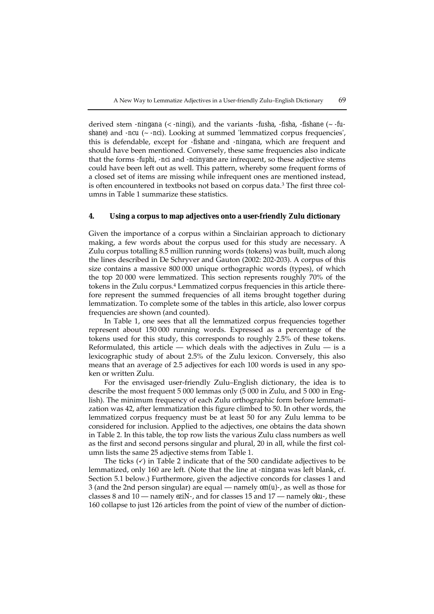derived stem *-ningana* (< *-ningi*), and the variants *-fusha*, *-fisha*, *-fishane* (~ *-fushane*) and *-ncu* (~ *-nci*). Looking at summed 'lemmatized corpus frequencies', this is defendable, except for *-fishane* and *-ningana*, which are frequent and should have been mentioned. Conversely, these same frequencies also indicate that the forms *-fuphi*, *-nci* and *-ncinyane* are infrequent, so these adjective stems could have been left out as well. This pattern, whereby some frequent forms of a closed set of items are missing while infrequent ones are mentioned instead, is often encountered in textbooks not based on corpus data.3 The first three columns in Table 1 summarize these statistics.

## **4. Using a corpus to map adjectives onto a user-friendly Zulu dictionary**

Given the importance of a corpus within a Sinclairian approach to dictionary making, a few words about the corpus used for this study are necessary. A Zulu corpus totalling 8.5 million running words (tokens) was built, much along the lines described in De Schryver and Gauton (2002: 202-203). A corpus of this size contains a massive 800 000 unique orthographic words (types), of which the top 20 000 were lemmatized. This section represents roughly 70% of the tokens in the Zulu corpus.4 Lemmatized corpus frequencies in this article therefore represent the summed frequencies of all items brought together during lemmatization. To complete some of the tables in this article, also lower corpus frequencies are shown (and counted).

In Table 1, one sees that all the lemmatized corpus frequencies together represent about 150 000 running words. Expressed as a percentage of the tokens used for this study, this corresponds to roughly 2.5% of these tokens. Reformulated, this article — which deals with the adjectives in  $Z$ ulu — is a lexicographic study of about 2.5% of the Zulu lexicon. Conversely, this also means that an average of 2.5 adjectives for each 100 words is used in any spoken or written Zulu.

For the envisaged user-friendly Zulu–English dictionary, the idea is to describe the most frequent 5 000 lemmas only (5 000 in Zulu, and 5 000 in English). The minimum frequency of each Zulu orthographic form before lemmatization was 42, after lemmatization this figure climbed to 50. In other words, the lemmatized corpus frequency must be at least 50 for any Zulu lemma to be considered for inclusion. Applied to the adjectives, one obtains the data shown in Table 2. In this table, the top row lists the various Zulu class numbers as well as the first and second persons singular and plural, 20 in all, while the first column lists the same 25 adjective stems from Table 1.

The ticks  $(\checkmark)$  in Table 2 indicate that of the 500 candidate adjectives to be lemmatized, only 160 are left. (Note that the line at *-ningana* was left blank, cf. Section 5.1 below.) Furthermore, given the adjective concords for classes 1 and 3 (and the 2nd person singular) are equal — namely *om(u)-*, as well as those for classes 8 and 10 — namely *eziN-*, and for classes 15 and 17 — namely *oku-*, these 160 collapse to just 126 articles from the point of view of the number of diction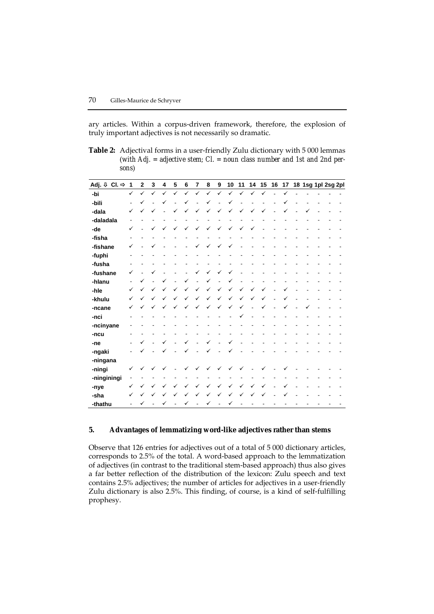ary articles. Within a corpus-driven framework, therefore, the explosion of truly important adjectives is not necessarily so dramatic.

| <b>Table 2:</b> Adjectival forms in a user-friendly Zulu dictionary with 5000 lemmas |
|--------------------------------------------------------------------------------------|
| (with Adj. $=$ adjective stem; Cl. $=$ noun class number and 1st and 2nd per-        |
| sons)                                                                                |

| Adj. ↓ Cl. ⇒ | 1                        | $\overline{2}$ | 3              | 4            | 5            | 6            | 7              | 8                        | 9                        | 10                       | 11             | 14           | 15           | 16             | 17           |    | 18 1sg 1pl 2sg 2pl |  |  |
|--------------|--------------------------|----------------|----------------|--------------|--------------|--------------|----------------|--------------------------|--------------------------|--------------------------|----------------|--------------|--------------|----------------|--------------|----|--------------------|--|--|
| -bi          | $\checkmark$             | $\checkmark$   | $\checkmark$   | $\checkmark$ | $\checkmark$ | $\checkmark$ | $\checkmark$   | $\checkmark$             | $\checkmark$             | $\checkmark$             | $\checkmark$   | $\checkmark$ | $\checkmark$ | $\overline{a}$ | $\checkmark$ | ÷, | ä,                 |  |  |
| -bili        | $\blacksquare$           |                |                | ✓            | ÷,           | $\checkmark$ | $\overline{a}$ | $\checkmark$             | ä,                       | ✓                        |                | L.           | ÷,           | ä,             | $\checkmark$ |    |                    |  |  |
| -dala        | ✓                        | $\checkmark$   | $\checkmark$   |              | ✓            | $\checkmark$ | $\checkmark$   | $\checkmark$             | ✓                        | ✓                        | ✓              | ✓            | ✓            |                | ✓            |    | $\checkmark$       |  |  |
| -daladala    |                          |                |                |              |              |              |                |                          |                          |                          |                |              |              |                |              |    |                    |  |  |
| -de          | $\checkmark$             |                | ✓              | ✓            | ✓            | $\checkmark$ | $\checkmark$   | $\checkmark$             | ✓                        | ✓                        | ✓              | $\checkmark$ |              |                |              |    |                    |  |  |
| -fisha       | $\overline{\phantom{a}}$ |                |                |              |              |              | Ĭ.             | $\overline{\phantom{a}}$ | $\overline{\phantom{a}}$ | $\overline{\phantom{a}}$ |                |              |              |                |              |    |                    |  |  |
| -fishane     | ✓                        |                | ✓              |              |              |              | ✓              | ✓                        | ✓                        | ✓                        |                |              |              |                |              |    |                    |  |  |
| -fuphi       |                          |                |                |              |              |              |                |                          |                          |                          |                |              |              |                |              |    |                    |  |  |
| -fusha       |                          |                |                |              |              |              |                |                          |                          |                          |                |              |              |                |              |    |                    |  |  |
| -fushane     | ✓                        |                | ✓              |              |              |              | $\checkmark$   | ✓                        | ✓                        | ✓                        |                |              |              |                |              |    |                    |  |  |
| -hlanu       | $\blacksquare$           | ✓              | $\blacksquare$ | ✓            |              | ✓            | ÷,             | ✓                        | $\blacksquare$           | $\checkmark$             | $\blacksquare$ | Ē,           | ۰            |                |              |    |                    |  |  |
| -hle         | $\checkmark$             | $\checkmark$   | ✓              | ✓            | ✓            | ✓            | $\checkmark$   | ✓                        | ✓                        | $\checkmark$             | ✓              | ✓            | ✓            | $\overline{a}$ | ✓            |    |                    |  |  |
| -khulu       | ✓                        | $\checkmark$   | ✓              | ✓            |              | ✓            | $\checkmark$   | $\checkmark$             | ✓                        | ✓                        | ✓              | ✓            | ✓            | $\blacksquare$ | ✓            |    |                    |  |  |
| -ncane       | ✓                        |                |                |              |              | ✓            | ✓              | ✓                        | ✓                        | ✓                        | ✓              |              | ✓            |                | ✓            |    |                    |  |  |
| -nci         |                          |                |                |              |              |              |                |                          |                          |                          |                |              |              |                |              |    |                    |  |  |
| -ncinyane    |                          |                |                |              |              |              |                |                          |                          |                          |                |              |              |                |              |    |                    |  |  |
| -ncu         |                          |                |                |              |              |              |                |                          |                          |                          |                |              |              |                |              |    |                    |  |  |
| -ne          | $\overline{\phantom{a}}$ | $\checkmark$   |                | ✓            |              | ✓            | ÷,             | ✓                        | $\blacksquare$           | ✓                        |                | Ē,           |              |                |              |    |                    |  |  |
| -ngaki       |                          |                |                |              |              |              |                |                          |                          |                          |                |              |              |                |              |    |                    |  |  |
| -ningana     |                          |                |                |              |              |              |                |                          |                          |                          |                |              |              |                |              |    |                    |  |  |
| -ningi       | ✓                        |                |                |              |              |              | $\checkmark$   | ✓                        | ✓                        | $\checkmark$             | $\checkmark$   |              | ✓            |                |              |    |                    |  |  |
| -ninginingi  |                          |                |                |              |              |              |                |                          |                          |                          |                |              |              |                |              |    |                    |  |  |
| -nye         | ✓                        | $\checkmark$   |                | ✓            |              | ✓            | $\checkmark$   | ✓                        | ✓                        | ✓                        | ✓              | $\checkmark$ | ✓            |                | ✓            |    |                    |  |  |
| -sha         | $\checkmark$             |                |                | ✓            |              | ✓            | $\checkmark$   | ✓                        | ✓                        | $\checkmark$             | $\checkmark$   |              |              |                | ✓            |    |                    |  |  |
| -thathu      | $\overline{\phantom{a}}$ | $\checkmark$   |                | ✓            |              | ✓            | ÷,             | ✓                        | $\overline{a}$           | ✓                        | $\blacksquare$ | ä,           |              |                |              |    |                    |  |  |

## **5. Advantages of lemmatizing word-like adjectives rather than stems**

Observe that 126 entries for adjectives out of a total of 5 000 dictionary articles, corresponds to 2.5% of the total. A word-based approach to the lemmatization of adjectives (in contrast to the traditional stem-based approach) thus also gives a far better reflection of the distribution of the lexicon: Zulu speech and text contains 2.5% adjectives; the number of articles for adjectives in a user-friendly Zulu dictionary is also 2.5%. This finding, of course, is a kind of self-fulfilling prophesy.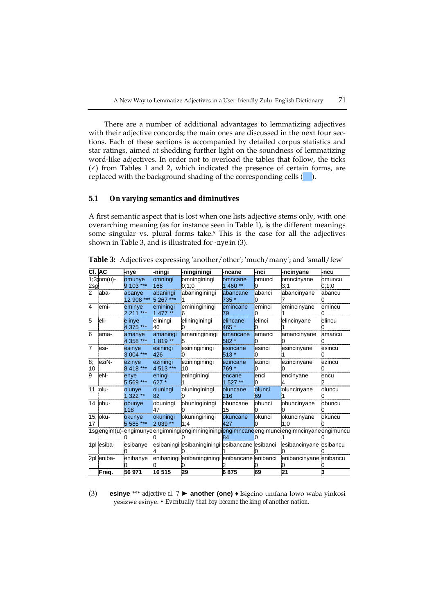There are a number of additional advantages to lemmatizing adjectives with their adjective concords; the main ones are discussed in the next four sections. Each of these sections is accompanied by detailed corpus statistics and star ratings, aimed at shedding further light on the soundness of lemmatizing word-like adjectives. In order not to overload the tables that follow, the ticks  $(\checkmark)$  from Tables 1 and 2, which indicated the presence of certain forms, are replaced with the background shading of the corresponding cells ( ).

## **5.1 On varying semantics and diminutives**

A first semantic aspect that is lost when one lists adjective stems only, with one overarching meaning (as for instance seen in Table 1), is the different meanings some singular vs. plural forms take.<sup>5</sup> This is the case for all the adjectives shown in Table 3, and is illustrated for *-nye* in (3).

|          | CI. AC        | -nye                 | -ningi                | -ninginingi                                                                                   | -ncane             | -nci         | -ncinyane              | -ncu             |
|----------|---------------|----------------------|-----------------------|-----------------------------------------------------------------------------------------------|--------------------|--------------|------------------------|------------------|
| 2sg      | $1;3;$ om(u)- | omunye<br>9 103 ***  | omningi<br>168        | omninginingi<br>0:1:0                                                                         | omncane<br>1 460** | omunci       | omncinyane<br>3:1      | omuncu<br>0.1, 0 |
| 2        | aba-          | abanye<br>12 908 *** | abaningi<br>5 267 *** | abaninginingi                                                                                 | abancane<br>735 *  | abanci<br>ი  | abancinyane            | abancu           |
| 4        | emi-          | eminye<br>2 211 ***  | eminingi<br>1 477 **  | emininginingi                                                                                 | emincane<br>79     | eminci       | emincinyane            | emincu           |
| 5        | leli -        | elinye<br>4 375 ***  | eliningi<br>46        | elininginingi                                                                                 | elincane<br>465 *  | elinci<br>ი  | elincinyane            | lelincu          |
| 6        | lama-         | amanye<br>4 358 ***  | amaningi<br>1 819 **  | amaninginingi                                                                                 | amancane<br>582 *  | lamanci      | amancinyane            | amancu           |
|          | esi-          | esinye<br>3 004 ***  | esiningi<br>426       | esininginingi                                                                                 | esincane<br>$513*$ | esinci       | esincinyane            | esincu           |
| 8.<br>10 | leziN-        | ezinye<br>8 4 18 *** | eziningi<br>4 513 *** | ezininginingi<br>10                                                                           | ezincane<br>769 *  | lezinci      | ezincinyane            | lezincu          |
| 9        | leN-          | enye<br>5 5 69 ***   | eningi<br>627 *       | eninginingi                                                                                   | encane<br>1 527 ** | lenci<br>n   | encinyane              | encu             |
| 11       | olu-          | olunye<br>$1322**$   | oluningi<br>82        | oluninginingi<br>ი                                                                            | oluncane<br>216    | olunci<br>69 | oluncinyane            | oluncu           |
| 14       | lobu-         | obunye<br>118        | obuningi<br>47        | obuninginingi                                                                                 | obuncane<br>15     | obunci       | obuncinyane            | obuncu           |
| 17       | 15; oku-      | okunye<br>5 585 ***  | okuningi<br>$2039**$  | okuninginingi<br>11.4                                                                         | okuncane<br>427    | okunci       | okuncinyane<br>1:0     | lokuncu          |
|          |               |                      |                       | 1sgengim(u)-engimunyelengimningilengimninginingilengimncanelengimuncilengimncinyanelengimuncu | R4                 |              |                        |                  |
|          | 1pl esiba-    | esibanye             |                       | esibaningi esibaninginingi esibancane esibanci                                                |                    |              | esibancinyane esibancu |                  |
|          | 2pl eniba-    | enibanye             |                       | enibaningi enibaninginingi enibancane enibanci                                                |                    |              | enibancinyane enibancu |                  |
|          | Frea.         | 56 971               | 16 515                | 29                                                                                            | 6875               | 69           | 21                     |                  |

**Table 3:** Adjectives expressing 'another/other'; 'much/many'; and 'small/few'

(3) **esinye** \*\*\* *adjective cl. 7* ► **another (one)** ♦ Isigcino umfana lowo waba yinkosi yesizwe esinye. *• Eventually that boy became the king of another nation*.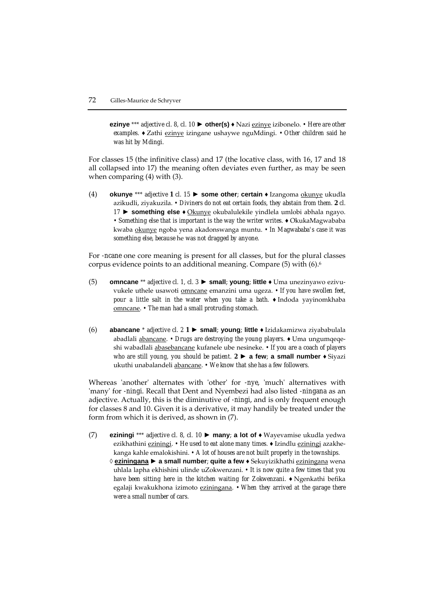**ezinye** \*\*\* *adjective cl. 8, cl. 10* ► **other(s)** ♦ Nazi ezinye izibonelo. *• Here are other examples.* ♦ Zathi ezinye izingane ushaywe nguMdingi. *• Other children said he was hit by Mdingi.*

For classes 15 (the infinitive class) and 17 (the locative class, with 16, 17 and 18 all collapsed into 17) the meaning often deviates even further, as may be seen when comparing (4) with (3).

(4) **okunye** \*\*\* *adjective* **1** *cl. 15* ► **some other**; **certain** ♦ Izangoma okunye ukudla azikudli, ziyakuzila. *• Diviners do not eat certain foods, they abstain from them.* **2** *cl. 17* ► **something else** ♦ Okunye okubalulekile yindlela umlobi abhala ngayo. *• Something else that is important is the way the writer writes.* ♦ OkukaMagwababa kwaba okunye ngoba yena akadonswanga muntu. *• In Magwababa's case it was something else, because* he *was not dragged by anyone.*

For *-ncane* one core meaning is present for all classes, but for the plural classes corpus evidence points to an additional meaning. Compare (5) with (6).6

- (5) **omncane** \*\* *adjective cl. 1, cl. 3* ► **small**; **young**; **little** ♦ Uma unezinyawo ezivuvukele uthele usawoti omncane emanzini uma ugeza. *• If you have swollen feet, pour a little salt in the water when you take a bath.* ♦ Indoda yayinomkhaba omncane. *• The man had a small protruding stomach.*
- (6) **abancane** \* *adjective cl. 2* **1** ► **small**; **young**; **little** ♦ Izidakamizwa ziyababulala abadlali abancane. *• Drugs are destroying the young players.* ♦ Uma ungumqeqeshi wabadlali abasebancane kufanele ube nesineke. *• If you are a coach of players who are still young, you should be patient.* **2** ► **a few**; **a small number** ♦ Siyazi ukuthi unabalandeli abancane. *• We know that she has a few followers.*

Whereas 'another' alternates with 'other' for *-nye*, 'much' alternatives with 'many' for *-ningi*. Recall that Dent and Nyembezi had also listed *-ningana* as an adjective. Actually, this is the diminutive of *-ningi*, and is only frequent enough for classes 8 and 10. Given it is a derivative, it may handily be treated under the form from which it is derived, as shown in (7).

(7) **eziningi** \*\*\* *adjective cl. 8, cl. 10* ► **many**; **a lot of** ♦ Wayevamise ukudla yedwa ezikhathini eziningi. *• He used to eat alone many times.* ♦ Izindlu eziningi azakhekanga kahle emalokishini. *• A lot of houses are not built properly in the townships.*  ◊ **eziningana** ► **a small number**; **quite a few** ♦ Sekuyizikhathi eziningana wena uhlala lapha ekhishini ulinde uZokwenzani. *• It is now quite a few times that you have been sitting here in the kitchen waiting for Zokwenzani.* • Ngenkathi befika egalaji kwakukhona izimoto eziningana. *• When they arrived at the garage there were a small number of cars.*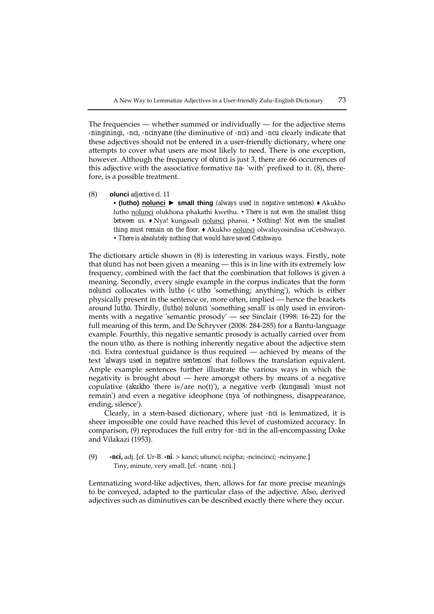The frequencies — whether summed or individually — for the adjective stems *-ninginingi*, *-nci*, *-ncinyane* (the diminutive of *-nci*) and *-ncu* clearly indicate that these adjectives should not be entered in a user-friendly dictionary, where one attempts to cover what users are most likely to need. There is one exception, however. Although the frequency of *olunci* is just 3, there are 66 occurrences of this adjective with the associative formative *na-* 'with' prefixed to it. (8), therefore, is a possible treatment.

(8) **olunci** *adjective cl. 11* 

**▪ (lutho) nolunci** ► **small thing** *(always used in negative sentences)* ♦ Akukho lutho nolunci olukhona phakathi kwethu. *• There is not even the smallest thing between us.* ♦ Nya! kungasali nolunci phansi. *• Nothing! Not even the smallest thing must remain on the floor.*  $\triangle$  Akukho nolunci olwaluyosindisa uCetshwayo. *• There is absolutely nothing that would have saved Cetshwayo.* 

The dictionary article shown in (8) is interesting in various ways. Firstly, note that *olunci* has not been given a meaning — this is in line with its extremely low frequency, combined with the fact that the combination that follows *is* given a meaning. Secondly, every single example in the corpus indicates that the form *nolunci* collocates with *lutho* (< *utho* 'something; anything'), which is either physically present in the sentence or, more often, implied — hence the brackets around *lutho*. Thirdly, *(lutho) nolunci* 'something small' is *only* used in environments with a negative 'semantic prosody' — see Sinclair (1998: 16-22) for the full meaning of this term, and De Schryver (2008: 284-285) for a Bantu-language example. Fourthly, this negative semantic prosody is actually carried over from the noun *utho*, as there is nothing inherently negative about the adjective stem *-nci*. Extra contextual guidance is thus required — achieved by means of the text '*always used in negative sentences*' that follows the translation equivalent. Ample example sentences further illustrate the various ways in which the negativity is brought about — here amongst others by means of a negative copulative (*akukho* 'there is/are no(t)'), a negative verb (*kungasali* 'must not remain') and even a negative ideophone (*nya* 'of nothingness, disappearance, ending, silence').

Clearly, in a stem-based dictionary, where just *-nci* is lemmatized, it is sheer impossible one could have reached this level of customized accuracy. In comparison, (9) reproduces the full entry for *-nci* in the all-encompassing Doke and Vilakazi (1953).

(9) **-ncí,** adj. [cf. Ur-B. *-nî*. > kancí; u∫uncí; ncipha; -ncincincí; -ncinyane.] Tiny, minute, very small. [cf. *-ncane*, *-ncú*.]

Lemmatizing word-like adjectives, then, allows for far more precise meanings to be conveyed, adapted to the particular class of the adjective. Also, derived adjectives such as diminutives can be described exactly there where they occur.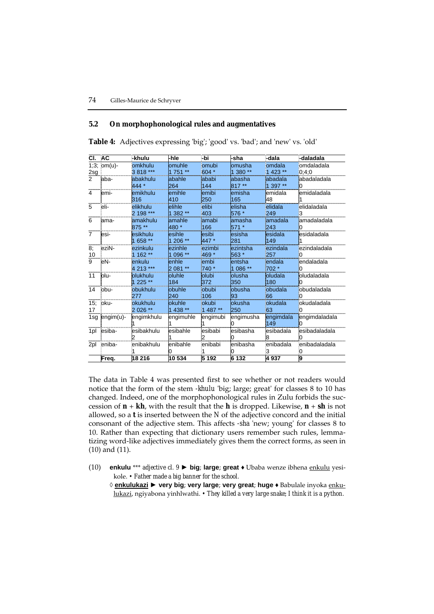# **5.2 On morphophonological rules and augmentatives**

| CI. AC    |                      | -khulu                | -hle                | -bi               | -sha               | -dala               | -daladala           |
|-----------|----------------------|-----------------------|---------------------|-------------------|--------------------|---------------------|---------------------|
| 2sg       | $1,3$ ; om(u)-       | omkhulu<br>3818 ***   | omuhle<br>1 751 **  | omubi<br>604 *    | omusha<br>1 380 ** | omdala<br>1 423 **  | omdaladala<br>0.4:0 |
| 2         | laba-                | abakhulu<br>444 *     | abahle<br>264       | ababi<br>144      | abasha<br>$817**$  | abadala<br>1 397 ** | abadaladala<br>'n   |
| 4         | lemi-                | emikhulu<br>316       | emihle<br>410       | lemibi<br>250     | emisha<br>165      | lemidala<br>48      | emidaladala         |
| 5         | eli-                 | elikhulu<br>2 198 *** | elihle<br>1 382 **  | elibi<br>403      | elisha<br>576 *    | elidala<br>249      | elidaladala<br>B    |
| 6         | lama-                | amakhulu<br>875 **    | amahle<br>480 *     | amabi<br>166      | amasha<br>$571*$   | amadala<br>243      | amadaladala<br>Ю    |
| 7         | lesi-                | lesikhulu<br>1 658 ** | esihle<br>1 206 **  | esibi<br>447 *    | esisha<br>281      | lesidala<br>149     | esidaladala         |
| 8;<br>10  | eziN-                | ezinkulu<br>$1162**$  | ezinhle<br>1 096 ** | ezimbi<br>469 *   | ezintsha<br>563*   | ezindala<br>257     | ezindaladala<br>Ю   |
| 9         | leN-                 | enkulu<br>4 213 ***   | enhle<br>$2081**$   | embi<br>740 *     | entsha<br>1 086 ** | endala<br>$702*$    | endaladala          |
| 11        | lolu-                | olukhulu<br>1 225 **  | oluhle<br>184       | olubi<br>372      | olusha<br>350      | oludala<br>180      | oludaladala<br>n    |
| 14        | obu-                 | obukhulu<br>277       | obuhle<br>240       | obubi<br>106      | lobusha<br>93      | obudala<br>66       | iobudaladala        |
| 15;<br>17 | oku-                 | okukhulu<br>2 0 26 ** | okuhle<br>$1438**$  | okubi<br>1 487 ** | lokusha<br>250     | okudala<br>63       | okudaladala<br>Ю    |
|           | $1$ sg engim $(u)$ - | engimkhulu            | engimuhle           | engimubi          | engimusha          | engimdala<br>149    | engimdaladala       |
| 1pl       | lesiba-              | esibakhulu            | esibahle            | esibabi           | esibasha           | lesibadala<br>8     | esibadaladala<br>i0 |
| 2pl       | eniba-               | enibakhulu            | enibahle            | enibabi           | enibasha           | enibadala<br>3      | enibadaladala<br>0  |
|           | Freq.                | 18 216                | 10 534              | 5 1 9 2           | 6 132              | 4937                | 9                   |

**Table 4:** Adjectives expressing 'big'; 'good' vs. 'bad'; and 'new' vs. 'old'

The data in Table 4 was presented first to see whether or not readers would notice that the form of the stem *-khulu* 'big; large; great' for classes 8 to 10 has changed. Indeed, one of the morphophonological rules in Zulu forbids the succession of  $\mathbf{n} + \mathbf{kh}$ , with the result that the **h** is dropped. Likewise,  $\mathbf{n} + \mathbf{sh}$  is not allowed, so a **t** is inserted between the *N* of the adjective concord and the initial consonant of the adjective stem. This affects *-sha* 'new; young' for classes 8 to 10. Rather than expecting that dictionary users remember such rules, lemmatizing word-like adjectives immediately gives them the correct forms, as seen in (10) and (11).

(10) **enkulu** \*\*\* *adjective cl. 9* ► **big**; **large**; **great** ♦ Ubaba wenze ibhena enkulu yesikole. *• Father made a big banner for the school.* 

◊ **enkulukazi** ► **very big**; **very large**; **very great**; **huge** ♦ Babulale inyoka enkulukazi, ngiyabona yinhlwathi. *• They killed a very large snake; I think it is a python.*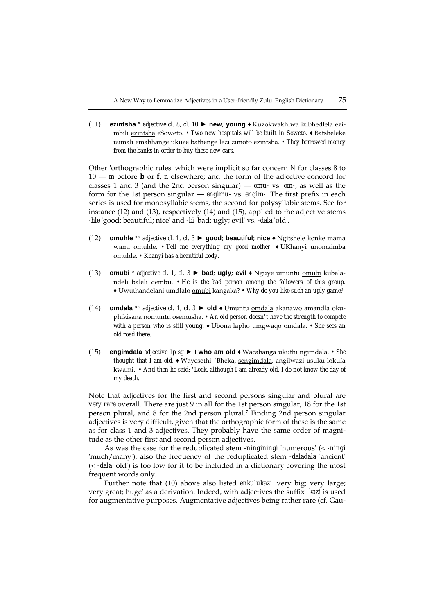(11) **ezintsha** \* *adjective cl. 8, cl. 10* ► **new**; **young** ♦ Kuzokwakhiwa izibhedlela ezimbili ezintsha eSoweto. *• Two new hospitals will be built in Soweto.* ♦ Batsheleke izimali emabhange ukuze bathenge lezi zimoto ezintsha. *• They borrowed money from the banks in order to buy these new cars.*

Other 'orthographic rules' which were implicit so far concern *N* for classes 8 to 10 — *m* before **b** or **f**, *n* elsewhere; and the form of the adjective concord for classes 1 and 3 (and the 2nd person singular) — *omu-* vs. *om-*, as well as the form for the 1st person singular — *engimu-* vs. *engim-*. The first prefix in each series is used for monosyllabic stems, the second for polysyllabic stems. See for instance (12) and (13), respectively (14) and (15), applied to the adjective stems *-hle* 'good; beautiful; nice' and *-bi* 'bad; ugly; evil' vs. *-dala* 'old'.

- (12) **omuhle** \*\* *adjective cl. 1, cl. 3* ► **good**; **beautiful**; **nice** ♦ Ngitshele konke mama wami omuhle. *• Tell me everything my good mother.* ♦ UKhanyi unomzimba omuhle. *• Khanyi has a beautiful body.*
- (13) **omubi** \* *adjective cl. 1, cl. 3* ► **bad**; **ugly**; **evil** ♦ Nguye umuntu omubi kubalandeli baleli qembu. *• He is the bad person among the followers of this group.* ♦ Uwuthandelani umdlalo omubi kangaka? *• Why do you like such an ugly game?*
- (14) **omdala** \*\* *adjective cl. 1, cl. 3* ► **old** ♦ Umuntu omdala akanawo amandla okuphikisana nomuntu osemusha. *• An old person doesn't have the strength to compete with a person who is still young.*  $\bullet$  Ubona lapho umgwaqo <u>omdala</u>. *• She sees an old road there.*
- (15) **engimdala** *adjective 1p sg* ► **I who am old** ♦ Wacabanga ukuthi ngimdala. *She thought that I am old.* ♦ Wayesethi: 'Bheka, sengimdala, angilwazi usuku lokufa kwami.' *• And then he said: 'Look, although I am already old, I do not know the day of my death.'*

Note that adjectives for the first and second persons singular and plural are *very rare* overall. There are just 9 in all for the 1st person singular, 18 for the 1st person plural, and 8 for the 2nd person plural.7 Finding 2nd person singular adjectives is very difficult, given that the orthographic form of these is the same as for class 1 and 3 adjectives. They probably have the same order of magnitude as the other first and second person adjectives.

As was the case for the reduplicated stem *-ninginingi* 'numerous' (< *-ningi* 'much/many'), also the frequency of the reduplicated stem *-daladala* 'ancient' (< *-dala* 'old') is too low for it to be included in a dictionary covering the most frequent words only.

Further note that (10) above also listed *enkulukazi* 'very big; very large; very great; huge' as a derivation. Indeed, with adjectives the suffix *-kazi* is used for augmentative purposes. Augmentative adjectives being rather rare (cf. Gau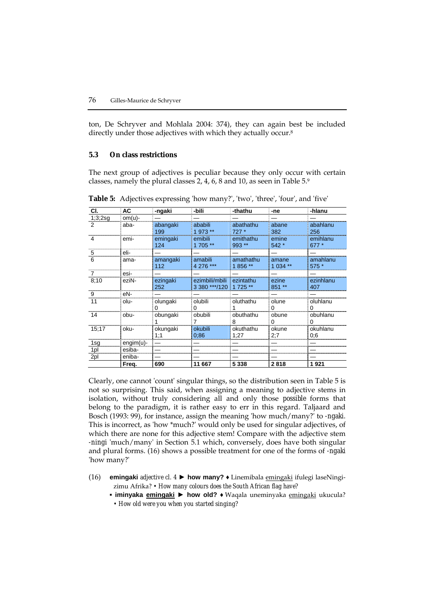ton, De Schryver and Mohlala 2004: 374), they can again best be included directly under those adjectives with which they actually occur.<sup>8</sup>

## **5.3 On class restrictions**

The next group of adjectives is peculiar because they only occur with certain classes, namely the plural classes 2, 4, 6, 8 and 10, as seen in Table 5.9

| CI.           | <b>AC</b>    | -ngaki          | -bili                           | -thathu               | -ne                | -hlanu            |
|---------------|--------------|-----------------|---------------------------------|-----------------------|--------------------|-------------------|
| 1;3;2sg       | $om(u)$ -    |                 |                                 |                       |                    |                   |
| $\mathcal{P}$ | aba-         | abangaki<br>199 | ababili<br>1 973 **             | abathathu<br>$727*$   | abane<br>382       | abahlanu<br>256   |
| 4             | emi-         | emingaki<br>124 | emibili<br>1 705 **             | emithathu<br>993 **   | emine<br>$542*$    | emihlanu<br>677 * |
| 5             | eli-         |                 |                                 |                       |                    |                   |
| 6             | ama-         | amangaki<br>112 | amabili<br>4 276 ***            | amathathu<br>1 856 ** | amane<br>1 0 34 ** | amahlanu<br>575 * |
|               | esi-         |                 |                                 |                       |                    |                   |
| 8:10          | eziN-        | ezingaki<br>252 | ezimbili/mbili<br>3 380 ***/120 | ezintathu<br>1 725 ** | ezine<br>851 **    | ezinhlanu<br>407  |
| 9             | eN-          |                 |                                 |                       |                    |                   |
| 11            | olu-         | olungaki        | olubili<br>0                    | oluthathu             | olune<br>0         | oluhlanu<br>0     |
| 14            | obu-         | obungaki        | obubili                         | obuthathu             | obune              | obuhlanu          |
| 15:17         | oku-         | okungaki<br>1,1 | okubili<br>0;86                 | okuthathu<br>1:27     | okune<br>2:7       | okuhlanu<br>0;6   |
| 1sg           | $engim(u)$ - |                 |                                 |                       |                    |                   |
| 1pl           | esiba-       |                 |                                 |                       |                    |                   |
| 2pl           | eniba-       |                 |                                 |                       |                    |                   |
|               | Freq.        | 690             | 11 667                          | 5 3 3 8               | 2818               | 1921              |

**Table 5:** Adjectives expressing 'how many?', 'two', 'three', 'four', and 'five'

Clearly, one cannot 'count' singular things, so the distribution seen in Table 5 is not so surprising. This said, when assigning a meaning to adjective stems in isolation, without truly considering all and only those *possible* forms that belong to the paradigm, it is rather easy to err in this regard. Taljaard and Bosch (1993: 99), for instance, assign the meaning 'how much/many?' to *-ngaki*. This is incorrect, as 'how \*much?' would only be used for singular adjectives, of which there are none for this adjective stem! Compare with the adjective stem *-ningi* 'much/many' in Section 5.1 which, conversely, does have both singular and plural forms. (16) shows a possible treatment for one of the forms of *-ngaki* 'how many?'

- (16) **emingaki** *adjective cl. 4* ► **how many?** ♦ Linemibala emingaki ifulegi laseNingizimu Afrika? *• How many colours does the South African flag have?* 
	- **▪ iminyaka emingaki** ► **how old?** ♦ Waqala uneminyaka emingaki ukucula? *• How old were you when you started singing?*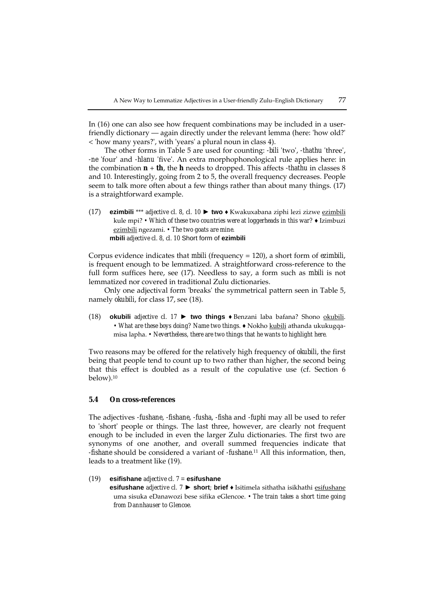In (16) one can also see how frequent combinations may be included in a userfriendly dictionary — again directly under the relevant lemma (here: 'how old?' < 'how many years?', with 'years' a plural noun in class 4).

The other forms in Table 5 are used for counting: *-bili* 'two', *-thathu* 'three', *-ne* 'four' and *-hlanu* 'five'. An extra morphophonological rule applies here: in the combination **n** + **th**, the **h** needs to dropped. This affects *-thathu* in classes 8 and 10. Interestingly, going from 2 to 5, the overall frequency decreases. People seem to talk more often about a few things rather than about many things. (17) is a straightforward example.

(17) **ezimbili** \*\*\* *adjective cl. 8, cl. 10* ► **two** ♦ Kwakuxabana ziphi lezi zizwe ezimbili kule mpi? *• Which of these two countries were at loggerheads in this war?* ♦ Izimbuzi ezimbili ngezami. *• The two goats are mine.*   **mbili** *adjective cl. 8, cl. 10* Short form of **ezimbili**

Corpus evidence indicates that *mbili* (frequency = 120), a short form of *ezimbili*, is frequent enough to be lemmatized. A straightforward cross-reference to the full form suffices here, see (17). Needless to say, a form such as *mbili* is not lemmatized nor covered in traditional Zulu dictionaries.

Only one adjectival form 'breaks' the symmetrical pattern seen in Table 5, namely *okubili*, for class 17, see (18).

(18) **okubili** *adjective cl. 17* ► **two things** ♦ Benzani laba bafana? Shono okubili. • What are these boys doing? Name two things. • Nokho kubili athanda ukukugqamisa lapha. *• Nevertheless, there are two things that he wants to highlight here.*

Two reasons may be offered for the relatively high frequency of *okubili*, the first being that people tend to count up to two rather than higher, the second being that this effect is doubled as a result of the copulative use (cf. Section 6 below).10

## **5.4 On cross-references**

The adjectives *-fushane*, *-fishane*, *-fusha*, *-fisha* and *-fuphi* may all be used to refer to 'short' people or things. The last three, however, are clearly not frequent enough to be included in even the larger Zulu dictionaries. The first two are synonyms of one another, and overall summed frequencies indicate that *-fishane* should be considered a variant of *-fushane*. 11 All this information, then, leads to a treatment like (19).

## (19) **esifishane** *adjective cl. 7* = **esifushane**

 **esifushane** *adjective cl. 7* ► **short**; **brief** ♦ Isitimela sithatha isikhathi esifushane uma sisuka eDanawozi bese sifika eGlencoe. *• The train takes a short time going from Dannhauser to Glencoe.*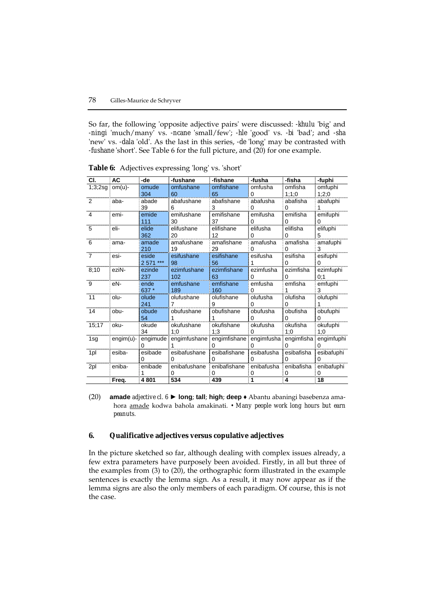So far, the following 'opposite adjective pairs' were discussed: *-khulu* 'big' and *-ningi* 'much/many' vs. *-ncane* 'small/few'; *-hle* 'good' vs. *-bi* 'bad'; and *-sha* 'new' vs. *-dala* 'old'. As the last in this series, *-de* 'long' may be contrasted with *-fushane* 'short'. See Table 6 for the full picture, and (20) for one example.

| CI.            | <b>AC</b>    | -de                | -fushane           | -fishane          | -fusha                 | -fisha               | -fuphi                 |
|----------------|--------------|--------------------|--------------------|-------------------|------------------------|----------------------|------------------------|
| 1;3;2sg        | $om(u)$ -    | omude<br>304       | omfushane<br>60    | omfishane<br>65   | omfusha<br>0           | omfisha<br>1:1:0     | omfuphi<br>1:2:0       |
| 2              | aba-         | abade<br>39        | abafushane<br>6    | abafishane<br>3   | abafusha<br>0          | abafisha<br>0        | abafuphi               |
| 4              | emi-         | emide<br>111       | emifushane<br>30   | emifishane<br>37  | emifusha<br>$\Omega$   | emifisha<br>0        | emifuphi<br>0          |
| 5              | eli-         | elide<br>362       | elifushane<br>20   | elifishane<br>12  | elifusha<br>$\Omega$   | elifisha<br>0        | elifuphi<br>5          |
| 6              | ama-         | amade<br>210       | amafushane<br>19   | amafishane<br>29  | amafusha<br>$\Omega$   | amafisha<br>0        | amafuphi<br>3          |
| $\overline{7}$ | esi-         | eside<br>2 571 *** | esifushane<br>98   | esifishane<br>56  | esifusha               | esifisha<br>U        | esifuphi<br>U          |
| 8;10           | eziN-        | ezinde<br>237      | ezimfushane<br>102 | ezimfishane<br>63 | ezimfusha<br>$\Omega$  | ezimfisha<br>0       | ezimfuphi<br>0:1       |
| 9              | eN-          | ende<br>637 *      | emfushane<br>189   | emfishane<br>160  | emfusha<br>0           | emfisha              | emfuphi<br>3           |
| 11             | olu-         | olude<br>241       | olufushane<br>7    | olufishane<br>9   | olufusha<br>$\Omega$   | olufisha<br>$\Omega$ | olufuphi<br>1          |
| 14             | obu-         | obude<br>54        | obufushane         | obufishane        | obufusha<br>0          | obufisha<br>0        | obufuphi               |
| 15;17          | oku-         | okude<br>34        | okufushane<br>1:0  | okufishane<br>1:3 | okufusha<br>0          | okufisha<br>1:0      | okufuphi<br>1:0        |
| 1sg            | $engim(u)$ - | engimude<br>0      | engimfushane       | engimfishane<br>0 | engimfusha<br>$\Omega$ | engimfisha<br>0      | engimfuphi<br>$\Omega$ |
| 1pl            | esiba-       | esibade<br>0       | esibafushane<br>0  | esibafishane<br>0 | esibafusha<br>$\Omega$ | esibafisha<br>0      | esibafuphi<br>0        |
| 2pl            | eniba-       | enibade            | enibafushane<br>0  | enibafishane<br>0 | enibafusha i<br>O      | enibafisha           | enibafuphi<br>0        |
|                | Freq.        | 4801               | 534                | 439               | 1                      | 4                    | 18                     |

**Table 6:** Adjectives expressing 'long' vs. 'short'

(20) **amade** *adjective cl. 6* ► **long**; **tall**; **high**; **deep** ♦ Abantu abaningi basebenza amahora amade kodwa bahola amakinati. *• Many people work long hours but earn peanuts.* 

## **6. Qualificative adjectives versus copulative adjectives**

In the picture sketched so far, although dealing with complex issues already, a few extra parameters have purposely been avoided. Firstly, in all but three of the examples from (3) to (20), the orthographic form illustrated in the example sentences is exactly the lemma sign. As a result, it may now appear as if the lemma signs are also the only members of each paradigm. Of course, this is not the case.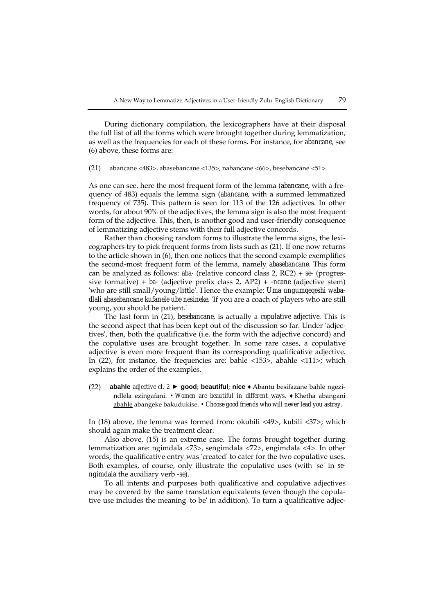During dictionary compilation, the lexicographers have at their disposal the full list of all the forms which were brought together during lemmatization, as well as the frequencies for each of these forms. For instance, for *abancane*, see (6) above, these forms are:

#### (21) abancane <483>, abasebancane <135>, nabancane <66>, besebancane <51>

As one can see, here the most frequent form of the lemma (*abancane*, with a frequency of 483) equals the lemma sign (*abancane*, with a summed lemmatized frequency of 735). This pattern is seen for 113 of the 126 adjectives. In other words, for about 90% of the adjectives, the lemma sign is also the most frequent form of the adjective. This, then, is another good and user-friendly consequence of lemmatizing adjective stems with their full adjective concords.

Rather than choosing random forms to illustrate the lemma signs, the lexicographers try to pick frequent forms from lists such as (21). If one now returns to the article shown in (6), then one notices that the second example exemplifies the second-most frequent form of the lemma, namely *abasebancane*. This form can be analyzed as follows: *aba-* (relative concord class 2, RC2) + *se-* (progressive formative) + *ba-* (adjective prefix class 2, AP2) + *-ncane* (adjective stem) 'who are still small/young/little'. Hence the example: *Uma ungumqeqeshi wabadlali abasebancane kufanele ube nesineke*. 'If you are a coach of players who are still young, you should be patient.'

The last form in (21), *besebancane*, is actually a *copulative adjective*. This is the second aspect that has been kept out of the discussion so far. Under 'adjectives', then, both the qualificative (i.e. the form with the adjective concord) and the copulative uses are brought together. In some rare cases, a copulative adjective is even more frequent than its corresponding qualificative adjective. In (22), for instance, the frequencies are: bahle <153>, abahle <111>; which explains the order of the examples.

(22) **abahle** *adjective cl. 2* ► **good**; **beautiful**; **nice** ♦ Abantu besifazane bahle ngezindlela ezingafani. *• Women are beautiful in different ways.* ♦ Khetha abangani abahle abangeke bakudukise. *• Choose good friends who will never lead you astray.*

In (18) above, the lemma was formed from: okubili <49>, kubili <37>; which should again make the treatment clear.

Also above, (15) is an extreme case. The forms brought together during lemmatization are: ngimdala <73>, sengimdala <72>, engimdala <4>. In other words, the qualificative entry was 'created' to cater for the two copulative uses. Both examples, of course, only illustrate the copulative uses (with 'se' in *sengimdala* the auxiliary verb *-se*).

To all intents and purposes both qualificative and copulative adjectives may be covered by the same translation equivalents (even though the copulative use includes the meaning 'to be' in addition). To turn a qualificative adjec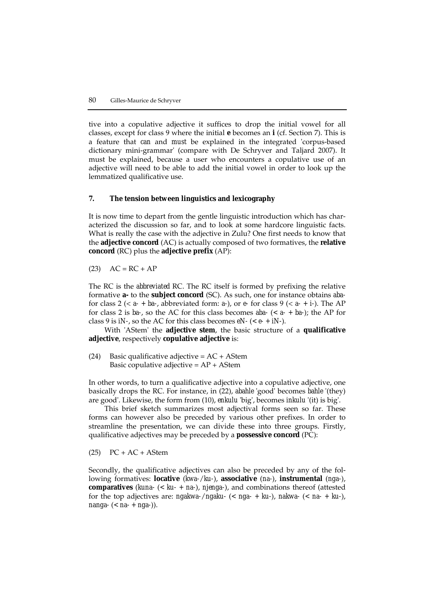tive into a copulative adjective it suffices to drop the initial vowel for all classes, except for class 9 where the initial **e** becomes an **i** (cf. Section 7). This is a feature that *can* and *must* be explained in the integrated 'corpus-based dictionary mini-grammar' (compare with De Schryver and Taljard 2007). It must be explained, because a user who encounters a copulative use of an adjective will need to be able to add the initial vowel in order to look up the lemmatized qualificative use.

## **7. The tension between linguistics and lexicography**

It is now time to depart from the gentle linguistic introduction which has characterized the discussion so far, and to look at some hardcore linguistic facts. What is really the case with the adjective in Zulu? One first needs to know that the **adjective concord** (AC) is actually composed of two formatives, the **relative concord** (RC) plus the **adjective prefix** (AP):

 $(23)$   $AC = RC + AP$ 

The RC is the *abbreviated* RC. The RC itself is formed by prefixing the relative formative **a-** to the **subject concord** (SC). As such, one for instance obtains *aba*for class 2 (<  $a$ - +  $ba$ -, abbreviated form:  $a$ -), or  $e$ - for class 9 (<  $a$ - +  $i$ -). The AP for class 2 is *ba-*, so the AC for this class becomes *aba-* (*< a- + ba-*); the AP for class 9 is *iN-*, so the AC for this class becomes  $eN - \frac{e^+ + iN}{-}$ .

With 'AStem' the **adjective stem**, the basic structure of a **qualificative adjective**, respectively **copulative adjective** is:

(24) Basic qualificative adjective =  $AC + AStem$ Basic copulative adjective =  $AP + AStem$ 

In other words, to turn a qualificative adjective into a copulative adjective, one basically drops the RC. For instance, in (22), *abahle* 'good' becomes *bahle* '(they) are good'. Likewise, the form from (10), *enkulu* 'big', becomes *inkulu* '(it) is big'.

This brief sketch summarizes most adjectival forms seen so far. These forms can however also be preceded by various other prefixes. In order to streamline the presentation, we can divide these into three groups. Firstly, qualificative adjectives may be preceded by a **possessive concord** (PC):

 $(25)$  PC + AC + AStem

Secondly, the qualificative adjectives can also be preceded by any of the following formatives: **locative** (*kwa-*/*ku-*), **associative** (*na-*), **instrumental** (*nga-*), **comparatives** (*kuna-* (*< ku- + na-*), *njenga-*), and combinations thereof (attested for the top adjectives are: *ngakwa-*/*ngaku-* (*< nga- + ku-*), *nakwa-* (*< na- + ku-*), *nanga-* (*< na- + nga-*)).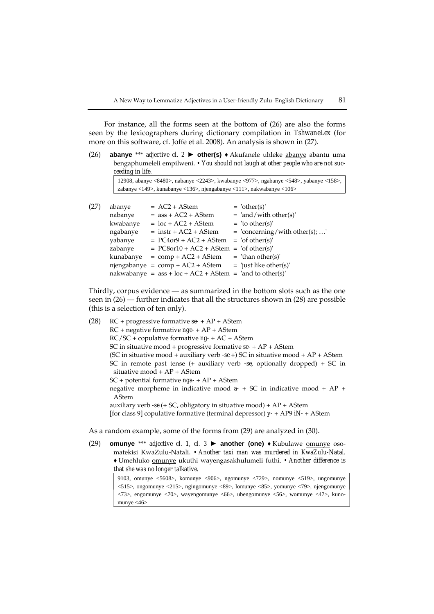For instance, all the forms seen at the bottom of (26) are also the forms seen by the lexicographers during dictionary compilation in *TshwaneLex* (for more on this software, cf. Joffe et al. 2008). An analysis is shown in (27).

(26) **abanye** \*\*\* *adjective cl. 2* ► **other(s)** ♦ Akufanele uhleke abanye abantu uma bengaphumeleli empilweni. *• You should not laugh at other people who are not succeeding in life.*

> 12908, abanye <8480>, nabanye <2243>, kwabanye <977>, ngabanye <548>, yabanye <158>, zabanye <149>, kunabanye <136>, njengabanye <111>, nakwabanye <106>

| (27) | abanye    | $= AC2 + AStem$                                            | $= 'other(s)'$                   |
|------|-----------|------------------------------------------------------------|----------------------------------|
|      | nabanye   | $=$ ass + AC2 + AStem                                      | $=$ 'and/with other(s)'          |
|      | kwabanye  | $=$ loc + AC2 + AStem                                      | $=$ 'to other(s)'                |
|      | ngabanye  | $=$ instr + AC2 + AStem                                    | $=$ 'concerning/with other(s); ' |
|      | yabanye   | $= PC4or9 + AC2 + AStem$                                   | $=$ 'of other(s)'                |
|      | zabanye   | $= PQ8$ or10 + AC2 + AStem $=$ 'of other(s)'               |                                  |
|      | kunabanye | $=$ comp + AC2 + AStem                                     | $=$ 'than other(s)'              |
|      |           | njengabanye = $comp + AC2 + AStem$                         | $=$ 'just like other(s)'         |
|      |           | nakwabanye = $ass + loc + AC2 + AStem = 'and to other(s)'$ |                                  |

Thirdly, corpus evidence — as summarized in the bottom slots such as the one seen in  $(26)$  — further indicates that all the structures shown in  $(28)$  are possible (this is a selection of ten only).

(28) RC + progressive formative *se-* + AP + AStem RC + negative formative *nge-* + AP + AStem RC/SC + copulative formative *ng-* + AC + AStem SC in situative mood + progressive formative *se-* + AP + AStem (SC in situative mood + auxiliary verb *-se* +) SC in situative mood + AP + AStem SC in remote past tense (+ auxiliary verb *-se*, optionally dropped) + SC in situative mood + AP + AStem SC + potential formative *nga-* + AP + AStem negative morpheme in indicative mood *a-* + SC in indicative mood + AP + AStem auxiliary verb *-se* (+ SC, obligatory in situative mood) + AP + AStem [for class 9] copulative formative (terminal depressor) *y-* + AP9 *iN-* + AStem

As a random example, some of the forms from (29) are analyzed in (30).

(29) **omunye** \*\*\* *adjective cl. 1, cl. 3* ► **another (one)** ♦ Kubulawe omunye osomatekisi KwaZulu-Natali. *• Another taxi man was murdered in KwaZulu-Natal.* ♦ Umehluko omunye ukuthi wayengasakhulumeli futhi. *• Another difference is that she was no longer talkative.*

> 9103, omunye <5608>, komunye <906>, ngomunye <729>, nomunye <519>, ungomunye <515>, ongomunye <215>, ngingomunye <89>, lomunye <85>, yomunye <79>, njengomunye <73>, engomunye <70>, wayengomunye <66>, ubengomunye <56>, womunye <47>, kunomunye <46>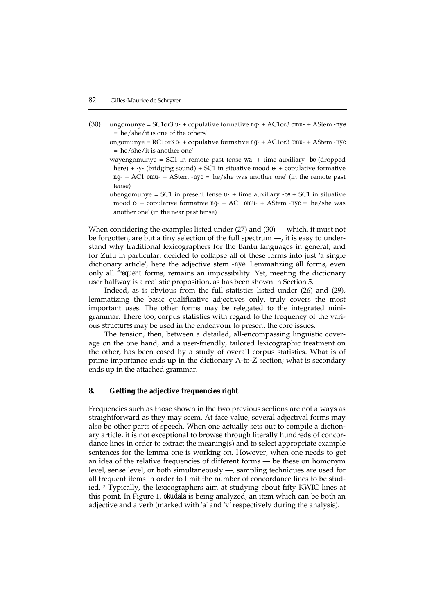(30) ungomunye = SC1or3 *u-* + copulative formative *ng-* + AC1or3 *omu-* + AStem *-nye* = 'he/she/it is one of the others'

 ongomunye = RC1or3 *o-* + copulative formative *ng-* + AC1or3 *omu-* + AStem *-nye* = 'he/she/it is another one'

 wayengomunye = SC1 in remote past tense *wa-* + time auxiliary *-be* (dropped here) + *-y-* (bridging sound) + SC1 in situative mood *e-* + copulative formative *ng-* + AC1 *omu-* + AStem *-nye* = 'he/she was another one' (in the remote past tense)

 ubengomunye = SC1 in present tense *u-* + time auxiliary *-be* + SC1 in situative mood *e-* + copulative formative *ng-* + AC1 *omu-* + AStem *-nye* = 'he/she was another one' (in the near past tense)

When considering the examples listed under (27) and (30) — which, it must not be forgotten, are but a tiny selection of the full spectrum —, it is easy to understand why traditional lexicographers for the Bantu languages in general, and for Zulu in particular, decided to collapse all of these forms into just 'a single dictionary article', here the adjective stem *-nye*. Lemmatizing *all* forms, even only all *frequent* forms, remains an impossibility. Yet, meeting the dictionary user halfway is a realistic proposition, as has been shown in Section 5.

Indeed, as is obvious from the full statistics listed under (26) and (29), lemmatizing the basic qualificative adjectives only, truly covers the most important uses. The other forms may be relegated to the integrated minigrammar. There too, corpus statistics with regard to the frequency of the various *structures* may be used in the endeavour to present the core issues.

The tension, then, between a detailed, all-encompassing linguistic coverage on the one hand, and a user-friendly, tailored lexicographic treatment on the other, has been eased by a study of overall corpus statistics. What is of prime importance ends up in the dictionary A-to-Z section; what is secondary ends up in the attached grammar.

## **8. Getting the adjective frequencies right**

Frequencies such as those shown in the two previous sections are not always as straightforward as they may seem. At face value, several adjectival forms may also be other parts of speech. When one actually sets out to compile a dictionary article, it is not exceptional to browse through literally hundreds of concordance lines in order to extract the meaning(s) and to select appropriate example sentences for the lemma one is working on. However, when one needs to get an idea of the relative frequencies of different forms — be these on homonym level, sense level, or both simultaneously —, sampling techniques are used for all frequent items in order to limit the number of concordance lines to be studied.12 Typically, the lexicographers aim at studying about fifty KWIC lines at this point. In Figure 1, *okudala* is being analyzed, an item which can be both an adjective and a verb (marked with 'a' and 'v' respectively during the analysis).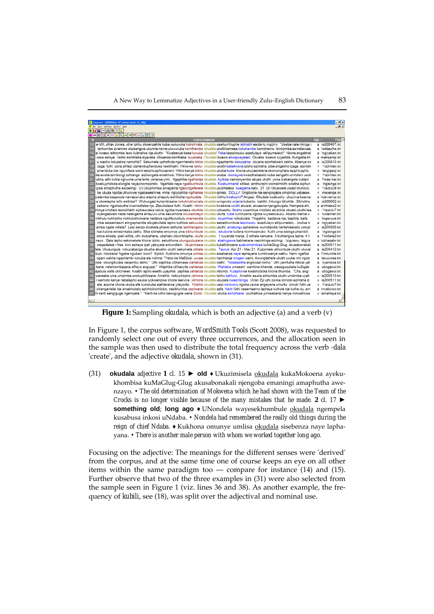| Concord - [OKUDALA: 47 entries (sort: 11, 2R)]                                                                                                                                                                                                                                     |     | $-61$                        |
|------------------------------------------------------------------------------------------------------------------------------------------------------------------------------------------------------------------------------------------------------------------------------------|-----|------------------------------|
| C Ele Vew Settings Window Help<br>$\bullet$ $\Box$ $\Box$ $\otimes$ $\otimes$ $\bullet$                                                                                                                                                                                            |     | $-103$                       |
| ▌ <b>▃▏O</b> 圆  ★ <mark>△   父│ <i>△</i>   ─│─</mark> │ / │□│ /                                                                                                                                                                                                                     |     |                              |
| Concordance<br>N                                                                                                                                                                                                                                                                   | Set | File <sup>E</sup>            |
| e-UK, uMax Jones, uthe lokhu okwenzekile kube wukuvuka kokulimala okudala osekumhluphe isikhathi eside lo mgilimi. "Usebe nale nkinga i<br>13                                                                                                                                      | a   | is200407.txt                 |
| Izinkomba zivamise ukubangwa ukumila noma ukuvuvuka komthambo okudala ukuthikameza kokuhamba komchamo. Izinkomba zomdlavuza<br>14                                                                                                                                                  | a   | \sdbzulhe.txt                |
| si kwaso isithombe leso kubhalwe nie ukuthi: "Kwabanye bese kuvuke okudala! Yeka lezozinsuku ezadlulayo eMpumelelo!" Noma engabhal<br>15                                                                                                                                           | a   | Ingiveken.txt                |
| xoxe ezinye. Izinto zomhlaba ziyaxaka. Ukwenza komhlaba kuyaxaka. Okudala kwawo akwejwayeleki. Okusha kwawo kuyadida. Kungaba kh<br>16                                                                                                                                             | a   | mangamp.txt                  |
| u lwakho lokuzalwa namuhla? Sekumele uphothule ngemfanelo lokho okudala ngaphambi kokuqalisa okusha ezinhlelweni zakho. Abanye ox<br>FV.                                                                                                                                           | ä   | is200410.txt                 |
| 18<br>zaga; futhi zona zihlezi ziphenduphenduka nesikhathi. Yikho-ke lokhu okudala ukuthi kabekhona izisho ezintsha; zibe zingekho izaga ezintsh                                                                                                                                   | ٧   | 1\izinhlan.bt                |
| 19<br>iphenduka ibe ngumfana wami esiphicaphicwaneni. Yikho kanye lokhu okudala ukuba kube khona ukucashelana okonomphelo eziphicaphic                                                                                                                                             | v   | \angigeqi.txt                |
| 20<br>ba evuka izimbongi zohlanga ezibongela amakhosi. Yikho kanye lokhu okudala ukaba ukuhaywa kwezithakazelo kube sengathi umndeni usuk                                                                                                                                          | v   | 1\izinhlan.bt                |
| <b>Pi</b><br>ubha, ethi kuhle ngivume uma lento yenziwe yimi. Ngaphika ngahlanza okudala, Ayibize nenkanyamba abuze ukuthi yona icabangela kubani.                                                                                                                                 |     | 1\nasi-kei.txt               |
| 22<br>kwakuyindoda elungile neyayinomqondo. Ngahlala naye ngakbumbula okudala. Kwakumnandi sihlezi emthunzini womsimbithi sinatha siphun                                                                                                                                           | a   | Ingisinga.bt                 |
| 23<br>gise amaphutha esipelingi. (c) Ukuphimisa amagama ngakungafanele okudala ukubhaleka kwegama kabi. 21 (d) Ukuswela ulwazi olunzulu                                                                                                                                            | v   | 1\isizulu9.txt               |
| 24<br>be ubuza ngoba uthunywe ngabaseshi-ke, mina ngiyophika ngihlanze okudala giniso. DOLLY: Ungibona nje sengingaba yimpimpi yabases                                                                                                                                             | v   | mavenge.txt                  |
| 25<br>celemba begawula namazwi abo elapha phezulu eshikisha ngokudala. Okudala lokhu kwakuyini? Angazi. Okudala kwakusho ukucima kwama                                                                                                                                             | a   | Inje-nemp.bt                 |
| 26<br>a ukwelapha isifo esithize? Wukungazi kuhambisana nokukhukhumala okudala umgondo onjena kubantu bakithi. Inkungu ibhokile. Sikhukhu                                                                                                                                          |     | is200602.txt                 |
| 27<br>sebona ngokocutha kwamadlebe nje. Zasukelana futhi. Kwathi ntinini okudala kwabona ukuthi akusizi, akuzame njengakugala. Nempela shi,                                                                                                                                        |     | emhlabe2.txt                 |
| minye imidlalo lesisikhathi siphawuleka kalula ngoba kwenzeka okuthile okudala udweshu. Nokho kweminye imidlalo akubilula ukwazi ukuthi les<br>Ayengezwani neze naleligama amaZulu uma sekukhona okuwadidayo okudala ukufa, kube kumnyama ngoba kuyisebusuku. Abantu bakhe u<br>29 | v   | 1\isizulu7.bd<br>hudeman.txt |
| mkhulu nokhokho nokhulukhulwane nadalwa nguNkulunkulu onamandla okudala, okuphilisa nokubulala. Yingakho badalwa nje, baphila, bafa.<br>30                                                                                                                                         | ٧   | lingevuye.txt                |
| 31<br>mbe esisekhasini elingaphandle sikujabulisile lapho kuthiwa sekuvuka okudala sebekhumbula lezonsuku ezadlulayo eMpumelelo kodwa b                                                                                                                                            | a   | <b>Inqiveken.txt</b>         |
| 32<br>amba ngale ndlela? Lesi senzo sicekela phansi isithunzi senhlangano okudala ukuthi amalungu aphelelwe wumdlandla nentshisekelo yokuzi                                                                                                                                        | v   | is200505.txt                 |
| lwa kulona elinezinkaba zethu. Sike sibheke emumva uma sikhumbule okudala, sikubone kufana nomhwamuko. Kuthi uma sisinga phambili<br>33                                                                                                                                            | a   | Ingisinga.txt                |
| 34<br>odwe elidala, ipaki elihle, uthi olutushane, ubahlalu obumblophe, ukufa okudala. 1 kuyanda manje, 2 sithela kancane 3 buthengwa lapha, 4 li                                                                                                                                  |     | a 1\indlela2.txt             |
| 35<br>nayo. Qala lapho sekonakele khona izinto, sekukhona ukunggubuzana okudala abalingiswa babhekane nezinkinga eziningi. Izigcawu: Isigca                                                                                                                                        |     | v \ubhaqalw.txt              |
| 36<br>waqedelela i-free kick eshaye ipali yabuyela enkundleni. Ukuzimisela okudala kukaMokoena ayekukhombisa kuMaGlug-Glug akusabonakali                                                                                                                                           |     | a is200511.txt               |
| lele. Ukusungula nokucabanga okusha akusho ukuthi sekumele ulibale okudala. Taurus: Apr 21 - May 21 Kuzomele ukhumbule ukuthi ukuval<br>37                                                                                                                                         |     | a is200412.txt               |
| buzi, ndodana! Ngabe ngubani lowo? Sipikili: Kukhona omunye umlisa o <mark>kudala</mark> sisebenza naye laphayana kumkhwenya wethu. Nami ngafika<br>38                                                                                                                             | a   | 1\inkundla.txt               |
| ogani wakhe ngaphambi kokuba ale indima: "Yebo-ke MaSibisi, uvuse okudala namhlanje mngani wami. Awungitshele ukuthi uvuke nini ngob<br>39                                                                                                                                         | a   | \akuyiwee.txt                |
| obe lokungibulala negembu lakho." Uthi waphika uShamase wahlanza okudala wathi: "Ndabezitha angikwazi lokho." Uthi yamfutha iNkosi yat<br>40                                                                                                                                       | a   | nvambos.txt                  |
| bane; nalentombazana efileyo angiyazi." Waphika uKhanyile wahlanza okudala. Wahleka umseshi wanikina ikhanda, wasegugukela kuSigab<br>41                                                                                                                                           |     | a ubogawul.txt               |
| 42 ajabula wafa uMcineleli. Kwathi lapho esethi uyayihila yaphika yahlanza okudala intombi. Kulapho-ke kwabhoboka khona ithumba. "Cha, angi                                                                                                                                        |     | a ubogawul.txt               |
| wenzeka uma umzimba unokuphikisana. Amehlo nobuchopho yikhona okudala lokhu kakhulu. Amehlo asuke ekhomba ukuthi umzimba uyah<br>43                                                                                                                                                | v   | is200510.txt                 |
| i wemoto kanye nabalapho esuke iyokwenziwa khona iservice vikhona okudala ukugala kwezinkinga. UVan Zyl uthi zonke izimoto ezintsha zi<br>44                                                                                                                                       | v   | is200511.txt                 |
| ela, agome khona ukuba afe kunokuba alahlekelwe vilevonto. Yilokho okudala usizi nomunyu ngoba usuke engevena umuntu omubi futhi us<br>45                                                                                                                                          |     | 1\isizulu7.txt               |
| 46<br>uhlanganisile nje amakhubalo ezinhlobonhlobo, nezikhumba zezilwane okudala zafa. Kanti futhi nasemsamo laphaya kuthule nje kuthe du, am                                                                                                                                      |     | a mcebowo.txt                |
| hi kanti sengiguge ngempela." "Kanti-ke lutho kawugugile wena Zondi. Okudala ukuba sikhohlane ukuthathwa yimisebenzi kanye nokwahluka<br>47                                                                                                                                        |     | v \amahlava.txt              |
| $\left  \cdot \right $                                                                                                                                                                                                                                                             |     |                              |
|                                                                                                                                                                                                                                                                                    |     |                              |

**Figure 1:** Sampling *okudala*, which is both an adjective (a) and a verb (v)

In Figure 1, the corpus software, *WordSmith Tools* (Scott 2008), was requested to randomly select one out of every three occurrences, and the allocation seen in the sample was then used to distribute the total frequency across the verb *-dala* 'create', and the adjective *okudala*, shown in (31).

(31) **okudala** *adjective* **1** *cl. 15* ► **old** ♦ Ukuzimisela okudala kukaMokoena ayekukhombisa kuMaGlug-Glug akusabonakali njengoba emaningi amaphutha awenzayo. *• The old determination of Mokwena which he had shown with the Team of the Crocks is no longer visible because of the many mistakes that he made.* **2** *cl. 17* ► **something old; long ago**  $\bullet$  UNondela wayesekhumbule okudala ngempela kusabusa inkosi uNdaba. *• Nondela had remembered the really old things during the reign of chief Ndaba.* ♦ Kukhona omunye umlisa okudala sisebenza naye laphayana. *• There is another male person with whom we worked together long ago.*

Focusing on the adjective: The meanings for the different senses were 'derived' from the corpus, and at the same time one of course keeps an eye on all other items within the same paradigm too — compare for instance (14) and (15). Further observe that two of the three examples in (31) were also selected from the sample seen in Figure 1 (viz. lines 36 and 38). As another example, the frequency of *kubili*, see (18), was split over the adjectival and nominal use.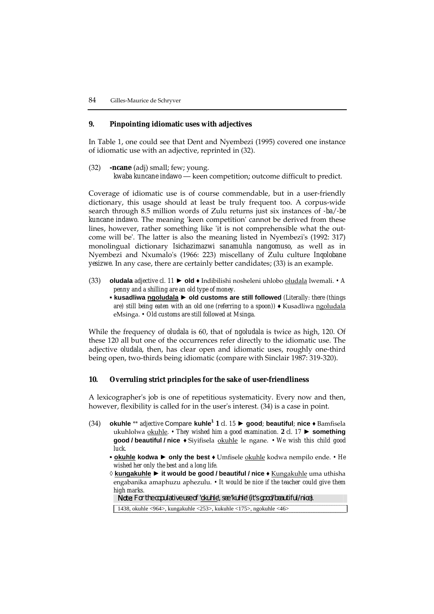# **9. Pinpointing idiomatic uses with adjectives**

In Table 1, one could see that Dent and Nyembezi (1995) covered one instance of idiomatic use with an adjective, reprinted in (32).

(32) **-ncane** (adj) small; few; young. *kwaba kuncane indawo* — keen competition; outcome difficult to predict.

Coverage of idiomatic use is of course commendable, but in a user-friendly dictionary, this usage should at least be truly frequent too. A corpus-wide search through 8.5 million words of Zulu returns just six instances of *-ba*/*-be kuncane indawo*. The meaning 'keen competition' cannot be derived from these lines, however, rather something like 'it is not comprehensible what the outcome will be'. The latter is also the meaning listed in Nyembezi's (1992: 317) monolingual dictionary *Isichazimazwi sanamuhla nangomuso*, as well as in Nyembezi and Nxumalo's (1966: 223) miscellany of Zulu culture *Inqolobane yesizwe*. In any case, there are certainly better candidates; (33) is an example.

- (33) **oludala** *adjective cl. 11* ► **old** ♦ Indibilishi nosheleni uhlobo oludala lwemali. *A penny and a shilling are an old type of money.* 
	- **▪ kusadliwa ngoludala** ► **old customs are still followed** *(Literally: there (things are) still being eaten with an old one (referring to a spoon))* ♦ Kusadliwa ngoludala eMsinga. *• Old customs are still followed at Msinga.*

While the frequency of *oludala* is 60, that of *ngoludala* is twice as high, 120. Of these 120 all but one of the occurrences refer directly to the idiomatic use. The adjective *oludala*, then, has clear open and idiomatic uses, roughly one-third being open, two-thirds being idiomatic (compare with Sinclair 1987: 319-320).

# **10. Overruling strict principles for the sake of user-friendliness**

A lexicographer's job is one of repetitious systematicity. Every now and then, however, flexibility is called for in the user's interest. (34) is a case in point.

- (34) **okuhle** \*\* *adjective* Compare **kuhle1 1** *cl. 15* ► **good**; **beautiful**; **nice** ♦ Bamfisela ukuhlolwa okuhle. *• They wished him a good examination.* **2** *cl. 17* ► **something good / beautiful / nice** ♦ Siyifisela okuhle le ngane. *• We wish this child good luck.* 
	- **▪ okuhle kodwa** ► **only the best** ♦ Umfisele okuhle kodwa nempilo ende. *He wished her only the best and a long life.*
	- ◊ **kungakuhle** ► **it would be good / beautiful / nice** ♦ Kungakuhle uma uthisha engabanika amaphuzu aphezulu. *• It would be nice if the teacher could give them high marks.*

*Note: For the copulative use of 'okuhle', see 'kuhle' (it's good/beautiful/nice).* 

 $\sqrt{1438}$ , okuhle <964>, kungakuhle <253>, kukuhle <175>, ngokuhle <46>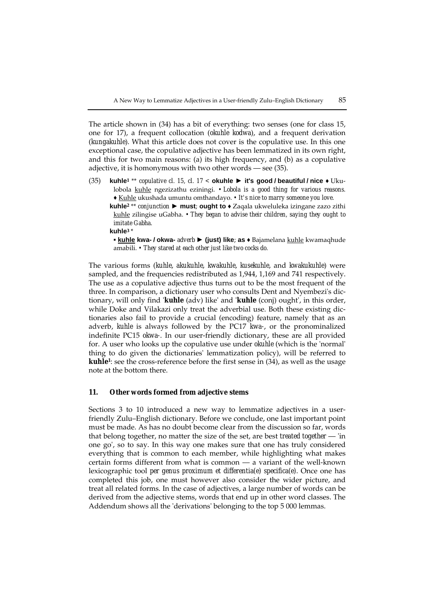The article shown in (34) has a bit of everything: two senses (one for class 15, one for 17), a frequent collocation (*okuhle kodwa*), and a frequent derivation (*kungakuhle*). What this article does not cover is the copulative use. In this one exceptional case, the copulative adjective has been lemmatized in its own right, and this for two main reasons: (a) its high frequency, and (b) as a copulative adjective, it is homonymous with two other words — see (35).

- (35) **kuhle<sup>1</sup>** \*\* *copulative cl. 15, cl. 17* < **okuhle** ► **it's good / beautiful / nice** ♦ Ukulobola kuhle ngezizathu eziningi. *• Lobola is a good thing for various reasons.* ♦ Kuhle ukushada umuntu omthandayo. *• It's nice to marry someone you love.*
	- **kuhle<sup>2</sup>** \*\* *conjunction* ► **must**; **ought to** ♦ Zaqala ukweluleka izingane zazo zithi kuhle zilingise uGabha. *• They began to advise their children, saying they ought to imitate Gabha.*  **kuhle<sup>3</sup>** \*
	- **▪ kuhle kwa- / okwa-** *adverb* ► **(just) like**; **as** ♦ Bajamelana kuhle kwamaqhude amabili. *• They stared at each other just like two cocks do.*

The various forms (*kuhle*, *akukuhle*, *kwakuhle*, *kusekuhle*, and *kwakukuhle*) were sampled, and the frequencies redistributed as 1,944, 1,169 and 741 respectively. The use as a copulative adjective thus turns out to be the most frequent of the three. In comparison, a dictionary user who consults Dent and Nyembezi's dictionary, will only find '**kuhle** (adv) like' and '**kuhle** (conj) ought', in this order, while Doke and Vilakazi only treat the adverbial use. Both these existing dictionaries also fail to provide a crucial (encoding) feature, namely that as an adverb, *kuhle* is always followed by the PC17 *kwa-*, or the pronominalized indefinite PC15 *okwa-*. In our user-friendly dictionary, these are all provided for. A user who looks up the copulative use under *okuhle* (which is the 'normal' thing to do given the dictionaries' lemmatization policy), will be referred to **kuhle1**: see the cross-reference before the first sense in (34), as well as the usage note at the bottom there.

## **11. Other words formed from adjective stems**

Sections 3 to 10 introduced a new way to lemmatize adjectives in a userfriendly Zulu–English dictionary. Before we conclude, one last important point must be made. As has no doubt become clear from the discussion so far, words that belong together, no matter the size of the set, are best *treated together* — 'in one go', so to say. In this way one makes sure that one has truly considered everything that is common to each member, while highlighting what makes certain forms different from what is common — a variant of the well-known lexicographic tool *per genus proximum et differentia(e) specifica(e)*. Once one has completed this job, one must however also consider the wider picture, and treat all related forms. In the case of adjectives, a large number of words can be derived from the adjective stems, words that end up in other word classes. The Addendum shows all the 'derivations' belonging to the top 5 000 lemmas.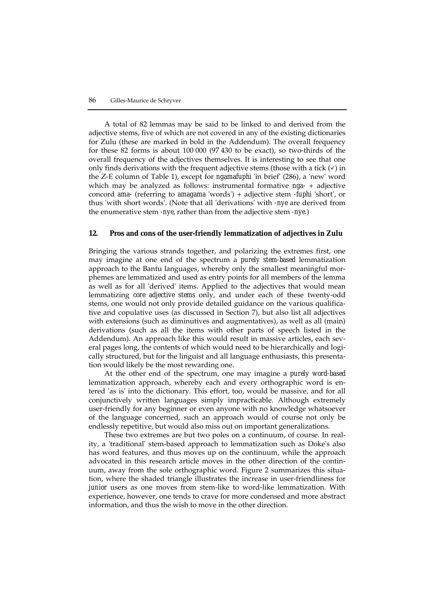A total of 82 lemmas may be said to be linked to and derived from the adjective stems, five of which are not covered in any of the existing dictionaries for Zulu (these are marked in bold in the Addendum). The overall frequency for these 82 forms is about 100 000 (97 430 to be exact), so two-thirds of the overall frequency of the adjectives themselves. It is interesting to see that one only finds derivations with the frequent adjective stems (those with a tick  $(\checkmark)$  in the Z-E column of Table 1), except for *ngamafuphi* 'in brief' (286), a 'new' word which may be analyzed as follows: instrumental formative *nga-* + adjective concord *ama-* (referring to *amagama* 'words') + adjective stem *-fuphi* 'short', or thus 'with short words'. (Note that all 'derivations' with *-nye* are derived from the enumerative stem *-nye*, rather than from the adjective stem *-nye*.)

## **12. Pros and cons of the user-friendly lemmatization of adjectives in Zulu**

Bringing the various strands together, and polarizing the extremes first, one may imagine at one end of the spectrum a *purely stem-based* lemmatization approach to the Bantu languages, whereby only the smallest meaningful morphemes are lemmatized and used as entry points for all members of the lemma as well as for all 'derived' items. Applied to the adjectives that would mean lemmatizing *core adjective stems* only, and under each of these twenty-odd stems, one would not only provide detailed guidance on the various qualificative and copulative uses (as discussed in Section 7), but also list all adjectives with extensions (such as diminutives and augmentatives), as well as all (main) derivations (such as all the items with other parts of speech listed in the Addendum). An approach like this would result in massive articles, each several pages long, the contents of which would need to be hierarchically and logically structured, but for the linguist and all language enthusiasts, this presentation would likely be the most rewarding one.

At the other end of the spectrum, one may imagine a *purely word-based* lemmatization approach, whereby each and every orthographic word is entered 'as is' into the dictionary. This effort, too, would be massive, and for all conjunctively written languages simply impracticable. Although extremely user-friendly for any beginner or even anyone with no knowledge whatsoever of the language concerned, such an approach would of course not only be endlessly repetitive, but would also miss out on important generalizations.

These two extremes are but two poles on a continuum, of course. In reality, a 'traditional' stem-based approach to lemmatization such as Doke's also has word features, and thus moves up on the continuum, while the approach advocated in this research article moves in the other direction of the continuum, away from the sole orthographic word. Figure 2 summarizes this situation, where the shaded triangle illustrates the increase in user-friendliness for *junior* users as one moves from stem-like to word-like lemmatization. With experience, however, one tends to crave for more condensed and more abstract information, and thus the wish to move in the other direction.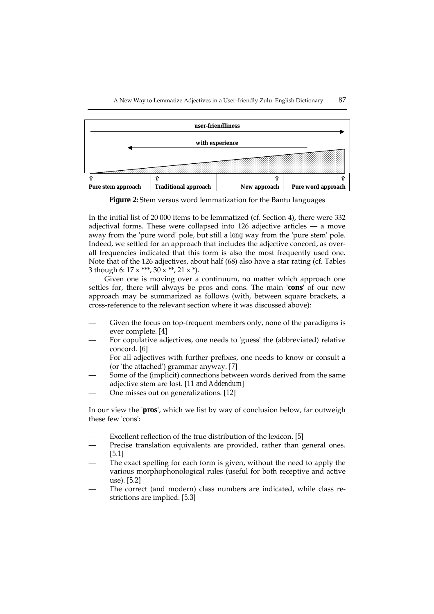

**Figure 2:** Stem versus word lemmatization for the Bantu languages

In the initial list of 20 000 items to be lemmatized (cf. Section 4), there were 332 adjectival forms. These were collapsed into 126 adjective articles — a move away from the 'pure word' pole, but still a *long* way from the 'pure stem' pole. Indeed, we settled for an approach that includes the adjective concord, as overall frequencies indicated that this form is also the most frequently used one. Note that of the 126 adjectives, about half (68) also have a star rating (cf. Tables 3 though 6: 17 x \*\*\*, 30 x \*\*, 21 x \*).

Given one is moving over a continuum, no matter which approach one settles for, there will always be pros and cons. The main '**cons**' of our new approach may be summarized as follows (with, between square brackets, a cross-reference to the relevant section where it was discussed above):

- Given the focus on top-frequent members only, none of the paradigms is ever complete. [*4*]
- For copulative adjectives, one needs to 'guess' the (abbreviated) relative concord. [*6*]
- For all adjectives with further prefixes, one needs to know or consult a (or 'the attached') grammar anyway. [*7*]
- Some of the (implicit) connections between words derived from the same adjective stem are lost. [*11 and Addendum*]
- One misses out on generalizations. [*12*]

In our view the '**pros**', which we list by way of conclusion below, far outweigh these few 'cons':

- Excellent reflection of the true distribution of the lexicon. [*5*]
- Precise translation equivalents are provided, rather than general ones. [*5.1*]
- The exact spelling for each form is given, without the need to apply the various morphophonological rules (useful for both receptive and active use). [*5.2*]
- The correct (and modern) class numbers are indicated, while class restrictions are implied. [*5.3*]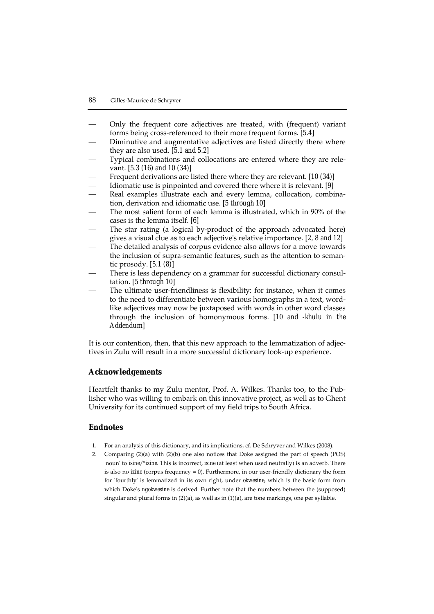- Only the frequent core adjectives are treated, with (frequent) variant forms being cross-referenced to their more frequent forms. [*5.4*]
- Diminutive and augmentative adjectives are listed directly there where they are also used. [*5.1 and 5.2*]
- Typical combinations and collocations are entered where they are relevant. [*5.3 (16) and 10 (34)*]
- Frequent derivations are listed there where they are relevant. [*10 (34)*]
- Idiomatic use is pinpointed and covered there where it is relevant. [9]
- Real examples illustrate each and every lemma, collocation, combination, derivation and idiomatic use. [*5 through 10*]
- The most salient form of each lemma is illustrated, which in 90% of the cases is the lemma itself. [*6*]
- The star rating (a logical by-product of the approach advocated here) gives a visual clue as to each adjective's relative importance. [*2, 8 and 12*]
- The detailed analysis of corpus evidence also allows for a move towards the inclusion of supra-semantic features, such as the attention to semantic prosody. [*5.1 (8)*]
- There is less dependency on a grammar for successful dictionary consultation. [*5 through 10*]
- The ultimate user-friendliness is flexibility: for instance, when it comes to the need to differentiate between various homographs in a text, wordlike adjectives may now be juxtaposed with words in other word classes through the inclusion of homonymous forms. [*10 and -khulu in the Addendum*]

It is our contention, then, that this new approach to the lemmatization of adjectives in Zulu will result in a more successful dictionary look-up experience.

## **Acknowledgements**

Heartfelt thanks to my Zulu mentor, Prof. A. Wilkes. Thanks too, to the Publisher who was willing to embark on this innovative project, as well as to Ghent University for its continued support of my field trips to South Africa.

# **Endnotes**

- 1. For an analysis of this dictionary, and its implications, cf. De Schryver and Wilkes (2008).
- 2. Comparing (2)(a) with (2)(b) one also notices that Doke assigned the part of speech (POS) 'noun' to *isine*/\**izine*. This is incorrect, *isine* (at least when used neutrally) is an adverb. There is also no *izine* (corpus frequency = 0). Furthermore, in our user-friendly dictionary the form for 'fourthly' is lemmatized in its own right, under *okwesine*, which is the basic form from which Doke's *ngokwesine* is derived. Further note that the numbers between the (supposed) singular and plural forms in (2)(a), as well as in (1)(a), are tone markings, one per syllable.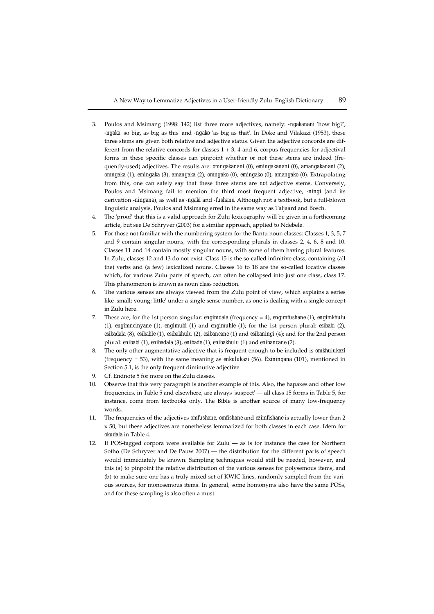- 3. Poulos and Msimang (1998: 142) list three more adjectives, namely: *-ngakanani* 'how big?', *-ngaka* 'so big, as big as this' and *-ngako* 'as big as that'. In Doke and Vilakazi (1953), these three stems are given both relative and adjective status. Given the adjective concords are different from the relative concords for classes  $1 + 3$ , 4 and 6, corpus frequencies for adjectival forms in these specific classes can pinpoint whether or not these stems are indeed (frequently-used) adjectives. The results are: *omngakanani* (0), *emingakanani* (0), *amangakanani* (2); *omngaka* (1), *emingaka* (3), *amangaka* (2); *omngako* (0), *emingako* (0), *amangako* (0). Extrapolating from this, one can safely say that these three stems are *not* adjective stems. Conversely, Poulos and Msimang fail to mention the third most frequent adjective, *-ningi* (and its derivation -*ningana*), as well as *-ngaki* and *-fushane*. Although not a textbook, but a full-blown linguistic analysis, Poulos and Msimang erred in the same way as Taljaard and Bosch.
- 4. The 'proof' that this is a valid approach for Zulu lexicography will be given in a forthcoming article, but see De Schryver (2003) for a similar approach, applied to Ndebele.
- 5. For those not familiar with the numbering system for the Bantu noun classes: Classes 1, 3, 5, 7 and 9 contain singular nouns, with the corresponding plurals in classes 2, 4, 6, 8 and 10. Classes 11 and 14 contain mostly singular nouns, with some of them having plural features. In Zulu, classes 12 and 13 do not exist. Class 15 is the so-called infinitive class, containing (all the) verbs and (a few) lexicalized nouns. Classes 16 to 18 are the so-called locative classes which, for various Zulu parts of speech, can often be collapsed into just one class, class 17. This phenomenon is known as noun class reduction.
- The various senses are always viewed from the Zulu point of view, which explains a series like 'small; young; little' under a single sense number, as one is dealing with a single concept in Zulu here.
- 7. These are, for the 1st person singular: *engimdala* (frequency = 4), *engimfushane* (1), *engimkhulu* (1), *engimncinyane* (1), *engimubi* (1) and *engimuhle* (1); for the 1st person plural: *esibabi* (2), *esibadala* (8), *esibahle* (1), *esibakhulu* (2), *esibancane* (1) and *esibaningi* (4); and for the 2nd person plural: *enibabi* (1), *enibadala* (3), *enibade* (1), *enibakhulu* (1) and *enibancane* (2).
- 8. The only other augmentative adjective that is frequent enough to be included is *omkhulukazi* (frequency = 53), with the same meaning as *enkulukazi* (56). *Eziningana* (101), mentioned in Section 5.1, is the only frequent diminutive adjective.
- 9. Cf. Endnote 5 for more on the Zulu classes.
- 10. Observe that this very paragraph is another example of this. Also, the hapaxes and other low frequencies, in Table 5 and elsewhere, are always 'suspect' — all class 15 forms in Table 5, for instance, come from textbooks only. The Bible is another source of many low-frequency words.
- 11. The frequencies of the adjectives *omfushane*, *omfishane* and *ezimfishane* is actually lower than 2 x 50, but these adjectives are nonetheless lemmatized for both classes in each case. Idem for *okudala* in Table 4.
- 12. If POS-tagged corpora were available for Zulu as is for instance the case for Northern Sotho (De Schryver and De Pauw 2007) — the distribution for the different parts of speech would immediately be known. Sampling techniques would still be needed, however, and this (a) to pinpoint the relative distribution of the various senses for polysemous items, and (b) to make sure one has a truly mixed set of KWIC lines, randomly sampled from the various sources, for monosemous items. In general, some homonyms also have the same POSs, and for these sampling is also often a must.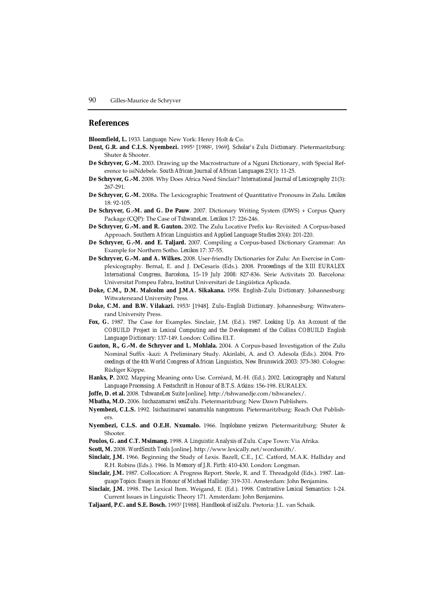# **References**

**Bloomfield, L.** 1933. *Language*. New York: Henry Holt & Co.

- **Dent, G.R. and C.L.S. Nyembezi.** 19953 [19882, 1969]. *Scholar's Zulu Dictionary*. Pietermaritzburg: Shuter & Shooter.
- **De Schryver, G.-M.** 2003. Drawing up the Macrostructure of a Nguni Dictionary, with Special Reference to isiNdebele. *South African Journal of African Languages* 23(1): 11-25.
- **De Schryver, G.-M.** 2008. Why Does Africa Need Sinclair? *International Journal of Lexicography* 21(3): 267-291.
- **De Schryver, G.-M.** 2008a. The Lexicographic Treatment of Quantitative Pronouns in Zulu. *Lexikos* 18: 92-105.
- **De Schryver, G.-M. and G. De Pauw**. 2007. Dictionary Writing System (DWS) + Corpus Query Package (CQP): The Case of *TshwaneLex*. *Lexikos* 17: 226-246.
- **De Schryver, G.-M. and R. Gauton.** 2002. The Zulu Locative Prefix ku- Revisited: A Corpus-based Approach. *Southern African Linguistics and Applied Language Studies* 20(4): 201-220.
- **De Schryver, G.-M. and E. Taljard.** 2007. Compiling a Corpus-based Dictionary Grammar: An Example for Northern Sotho. *Lexikos* 17: 37-55.
- **De Schryver, G.-M. and A. Wilkes.** 2008. User-friendly Dictionaries for Zulu: An Exercise in Complexicography. Bernal, E. and J. DeCesaris (Eds.). 2008. *Proceedings of the XIII EURALEX International Congress, Barcelona, 15–19 July 2008*: 827-836. Sèrie Activitats 20. Barcelona: Universitat Pompeu Fabra, Institut Universitari de Lingüística Aplicada.
- **Doke, C.M., D.M. Malcolm and J.M.A. Sikakana.** 1958. *English–Zulu Dictionary*. Johannesburg: Witwatersrand University Press.
- **Doke, C.M. and B.W. Vilakazi.** 19532 [1948]. *Zulu–English Dictionary*. Johannesburg: Witwatersrand University Press.
- **Fox, G.** 1987. The Case for Examples. Sinclair, J.M. (Ed.). 1987. *Looking Up. An Account of the COBUILD Project in Lexical Computing and the Development of the Collins COBUILD English Language Dictionary*: 137-149. London: Collins ELT.
- **Gauton, R., G.-M. de Schryver and L. Mohlala.** 2004. A Corpus-based Investigation of the Zulu Nominal Suffix -kazi: A Preliminary Study. Akinlabi, A. and O. Adesola (Eds.). 2004. *Proceedings of the 4th World Congress of African Linguistics, New Brunswick 2003*: 373-380. Cologne: Rüdiger Köppe.
- **Hanks, P.** 2002. Mapping Meaning onto Use. Corréard, M.-H. (Ed.). 2002. *Lexicography and Natural Language Processing. A Festschrift in Honour of B.T.S. Atkins*: 156-198. EURALEX.
- **Joffe, D. et al.** 2008. *TshwaneLex Suite* [online]. http://tshwanedje.com/tshwanelex/.

**Mbatha, M.O.** 2006. *Isichazamazwi sesiZulu*. Pietermaritzburg: New Dawn Publishers.

- **Nyembezi, C.L.S.** 1992. *Isichazimazwi sanamuhla nangomuso*. Pietermaritzburg: Reach Out Publishers.
- **Nyembezi, C.L.S. and O.E.H. Nxumalo.** 1966. *Inqolobane yesizwe*. Pietermaritzburg: Shuter & Shooter.

**Poulos, G. and C.T. Msimang.** 1998. *A Linguistic Analysis of Zulu*. Cape Town: Via Afrika.

- **Scott, M.** 2008. *WordSmith Tools* [online]. http://www.lexically.net/wordsmith/.
- **Sinclair, J.M.** 1966. Beginning the Study of Lexis. Bazell, C.E., J.C. Catford, M.A.K. Halliday and R.H. Robins (Eds.). 1966. *In Memory of J.R. Firth*: 410-430. London: Longman.
- **Sinclair, J.M.** 1987. Collocation: A Progress Report. Steele, R. and T. Threadgold (Eds.). 1987. *Language Topics: Essays in Honour of Michael Halliday*: 319-331. Amsterdam: John Benjamins.
- **Sinclair, J.M.** 1998. The Lexical Item. Weigand, E. (Ed.). 1998. *Contrastive Lexical Semantics*: 1-24. Current Issues in Linguistic Theory 171. Amsterdam: John Benjamins.
- **Taljaard, P.C. and S.E. Bosch.** 19932 [1988]. *Handbook of isiZulu*. Pretoria: J.L. van Schaik.